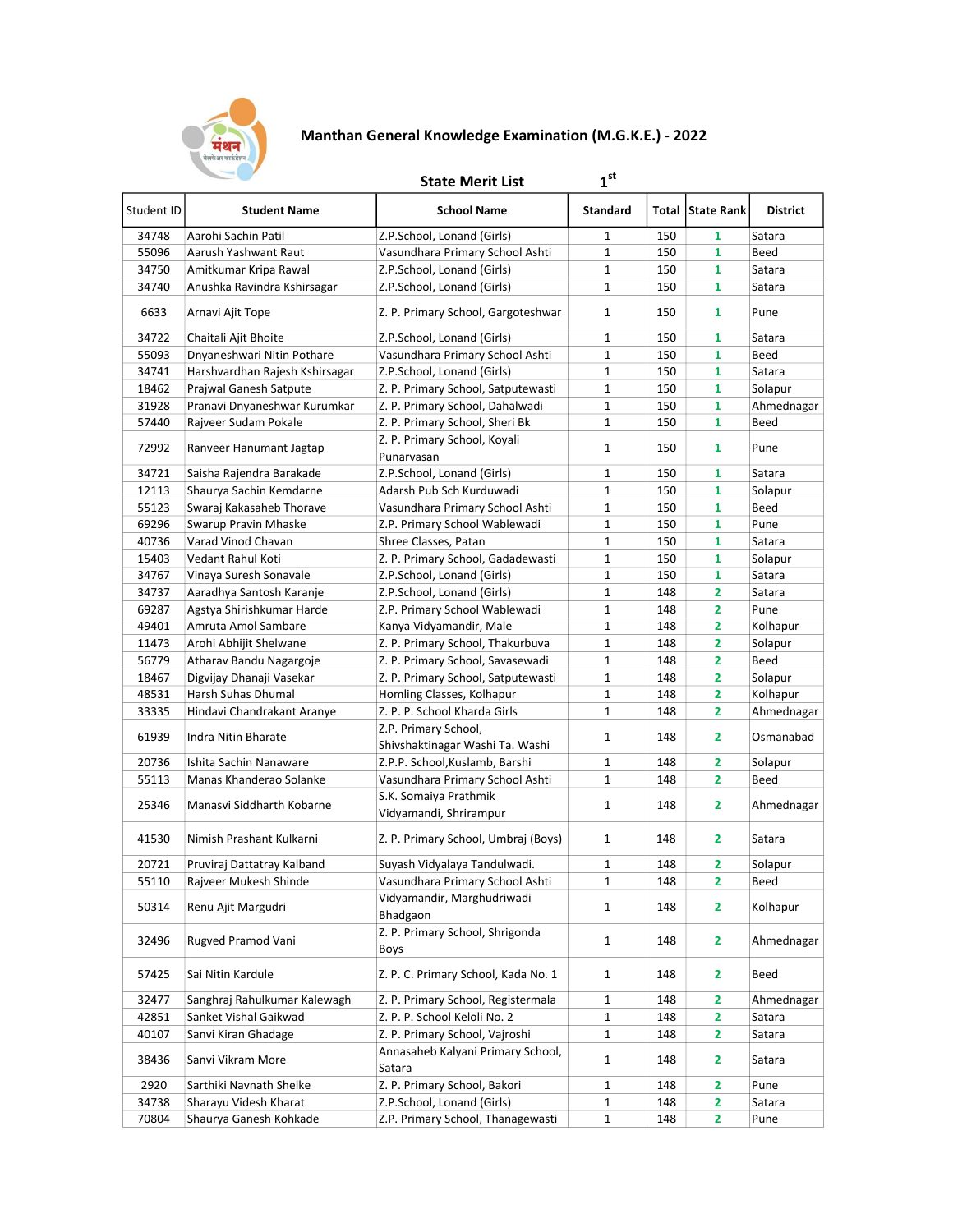

## Manthan General Knowledge Examination (M.G.K.E.) - 2022

 $1<sup>st</sup>$ 

## **State Merit List**

| Student ID | <b>Student Name</b>            | <b>School Name</b>                          | <b>Standard</b> |     | Total   State Rank      | <b>District</b> |
|------------|--------------------------------|---------------------------------------------|-----------------|-----|-------------------------|-----------------|
| 34748      | Aarohi Sachin Patil            | Z.P.School, Lonand (Girls)                  | 1               | 150 | 1                       | Satara          |
| 55096      | Aarush Yashwant Raut           | Vasundhara Primary School Ashti             | 1               | 150 | 1                       | Beed            |
| 34750      | Amitkumar Kripa Rawal          | Z.P.School, Lonand (Girls)                  | $\mathbf{1}$    | 150 | 1                       | Satara          |
| 34740      | Anushka Ravindra Kshirsagar    | Z.P.School, Lonand (Girls)                  | $\mathbf{1}$    | 150 | $\mathbf{1}$            | Satara          |
| 6633       | Arnavi Ajit Tope               | Z. P. Primary School, Gargoteshwar          | 1               | 150 | 1                       | Pune            |
| 34722      | Chaitali Ajit Bhoite           | Z.P.School, Lonand (Girls)                  | 1               | 150 | 1                       | Satara          |
| 55093      | Dnyaneshwari Nitin Pothare     | Vasundhara Primary School Ashti             | 1               | 150 | 1                       | Beed            |
| 34741      | Harshvardhan Rajesh Kshirsagar | Z.P.School, Lonand (Girls)                  | $\mathbf 1$     | 150 | 1                       | Satara          |
| 18462      | Prajwal Ganesh Satpute         | Z. P. Primary School, Satputewasti          | $\mathbf{1}$    | 150 | 1                       | Solapur         |
| 31928      | Pranavi Dnyaneshwar Kurumkar   | Z. P. Primary School, Dahalwadi             | $\mathbf 1$     | 150 | 1                       | Ahmednagar      |
| 57440      | Rajveer Sudam Pokale           | Z. P. Primary School, Sheri Bk              | $\mathbf 1$     | 150 | 1                       | Beed            |
| 72992      | Ranveer Hanumant Jagtap        | Z. P. Primary School, Koyali<br>Punarvasan  | 1               | 150 | 1                       | Pune            |
| 34721      | Saisha Rajendra Barakade       | Z.P.School, Lonand (Girls)                  | $\mathbf{1}$    | 150 | 1                       | Satara          |
| 12113      | Shaurya Sachin Kemdarne        | Adarsh Pub Sch Kurduwadi                    | $\mathbf 1$     | 150 | $\mathbf{1}$            | Solapur         |
| 55123      | Swaraj Kakasaheb Thorave       | Vasundhara Primary School Ashti             | $\mathbf{1}$    | 150 | $\mathbf{1}$            | Beed            |
| 69296      | Swarup Pravin Mhaske           | Z.P. Primary School Wablewadi               | $\mathbf{1}$    | 150 | 1                       | Pune            |
| 40736      | Varad Vinod Chavan             | Shree Classes, Patan                        | 1               | 150 | 1                       | Satara          |
| 15403      | Vedant Rahul Koti              | Z. P. Primary School, Gadadewasti           | $\mathbf{1}$    | 150 | $\mathbf{1}$            | Solapur         |
| 34767      | Vinaya Suresh Sonavale         | Z.P.School, Lonand (Girls)                  | $\mathbf 1$     | 150 | 1                       | Satara          |
| 34737      | Aaradhya Santosh Karanje       | Z.P.School, Lonand (Girls)                  | $\mathbf 1$     | 148 | 2                       | Satara          |
| 69287      | Agstya Shirishkumar Harde      | Z.P. Primary School Wablewadi               | $\mathbf 1$     | 148 | 2                       | Pune            |
| 49401      | Amruta Amol Sambare            | Kanya Vidyamandir, Male                     | 1               | 148 | 2                       | Kolhapur        |
| 11473      | Arohi Abhijit Shelwane         | Z. P. Primary School, Thakurbuva            | $\mathbf 1$     | 148 | 2                       | Solapur         |
| 56779      | Atharav Bandu Nagargoje        | Z. P. Primary School, Savasewadi            | $\mathbf 1$     | 148 | 2                       | Beed            |
| 18467      | Digvijay Dhanaji Vasekar       | Z. P. Primary School, Satputewasti          | $\mathbf{1}$    | 148 | 2                       | Solapur         |
| 48531      | Harsh Suhas Dhumal             | Homling Classes, Kolhapur                   | 1               | 148 | 2                       | Kolhapur        |
| 33335      | Hindavi Chandrakant Aranye     | Z. P. P. School Kharda Girls                | 1               | 148 | 2                       | Ahmednagar      |
|            |                                | Z.P. Primary School,                        |                 |     |                         |                 |
| 61939      | Indra Nitin Bharate            | Shivshaktinagar Washi Ta. Washi             | 1               | 148 | $\overline{2}$          | Osmanabad       |
| 20736      | Ishita Sachin Nanaware         | Z.P.P. School, Kuslamb, Barshi              | $\mathbf{1}$    | 148 | 2                       | Solapur         |
| 55113      | Manas Khanderao Solanke        | Vasundhara Primary School Ashti             | $\mathbf{1}$    | 148 | 2                       | Beed            |
|            |                                | S.K. Somaiya Prathmik                       |                 |     |                         |                 |
| 25346      | Manasvi Siddharth Kobarne      | Vidyamandi, Shrirampur                      | $\mathbf{1}$    | 148 | $\mathbf{2}$            | Ahmednagar      |
| 41530      | Nimish Prashant Kulkarni       | Z. P. Primary School, Umbraj (Boys)         | $\mathbf{1}$    | 148 | 2                       | Satara          |
| 20721      | Pruviraj Dattatray Kalband     | Suyash Vidyalaya Tandulwadi.                | 1               | 148 | 2                       | Solapur         |
| 55110      | Rajveer Mukesh Shinde          | Vasundhara Primary School Ashti             | $\mathbf{1}$    | 148 | 2                       | Beed            |
| 50314      | Renu Ajit Margudri             | Vidyamandir, Marghudriwadi<br>Bhadgaon      | $\mathbf{1}$    | 148 | 2                       | Kolhapur        |
| 32496      | Rugved Pramod Vani             | Z. P. Primary School, Shrigonda<br>Boys     | $\mathbf{1}$    | 148 | $\overline{\mathbf{2}}$ | Ahmednagar      |
| 57425      | Sai Nitin Kardule              | Z. P. C. Primary School, Kada No. 1         | $\mathbf{1}$    | 148 | 2                       | Beed            |
| 32477      | Sanghraj Rahulkumar Kalewagh   | Z. P. Primary School, Registermala          | 1               | 148 | 2                       | Ahmednagar      |
| 42851      | Sanket Vishal Gaikwad          | Z. P. P. School Keloli No. 2                | $\mathbf{1}$    | 148 | 2                       | Satara          |
| 40107      | Sanvi Kiran Ghadage            | Z. P. Primary School, Vajroshi              | $\mathbf{1}$    | 148 | 2                       | Satara          |
| 38436      | Sanvi Vikram More              | Annasaheb Kalyani Primary School,<br>Satara | 1               | 148 | 2                       | Satara          |
| 2920       | Sarthiki Navnath Shelke        | Z. P. Primary School, Bakori                | 1               | 148 | 2                       | Pune            |
| 34738      | Sharayu Videsh Kharat          | Z.P.School, Lonand (Girls)                  | 1               | 148 | 2                       | Satara          |
| 70804      | Shaurya Ganesh Kohkade         | Z.P. Primary School, Thanagewasti           | 1               | 148 | 2                       | Pune            |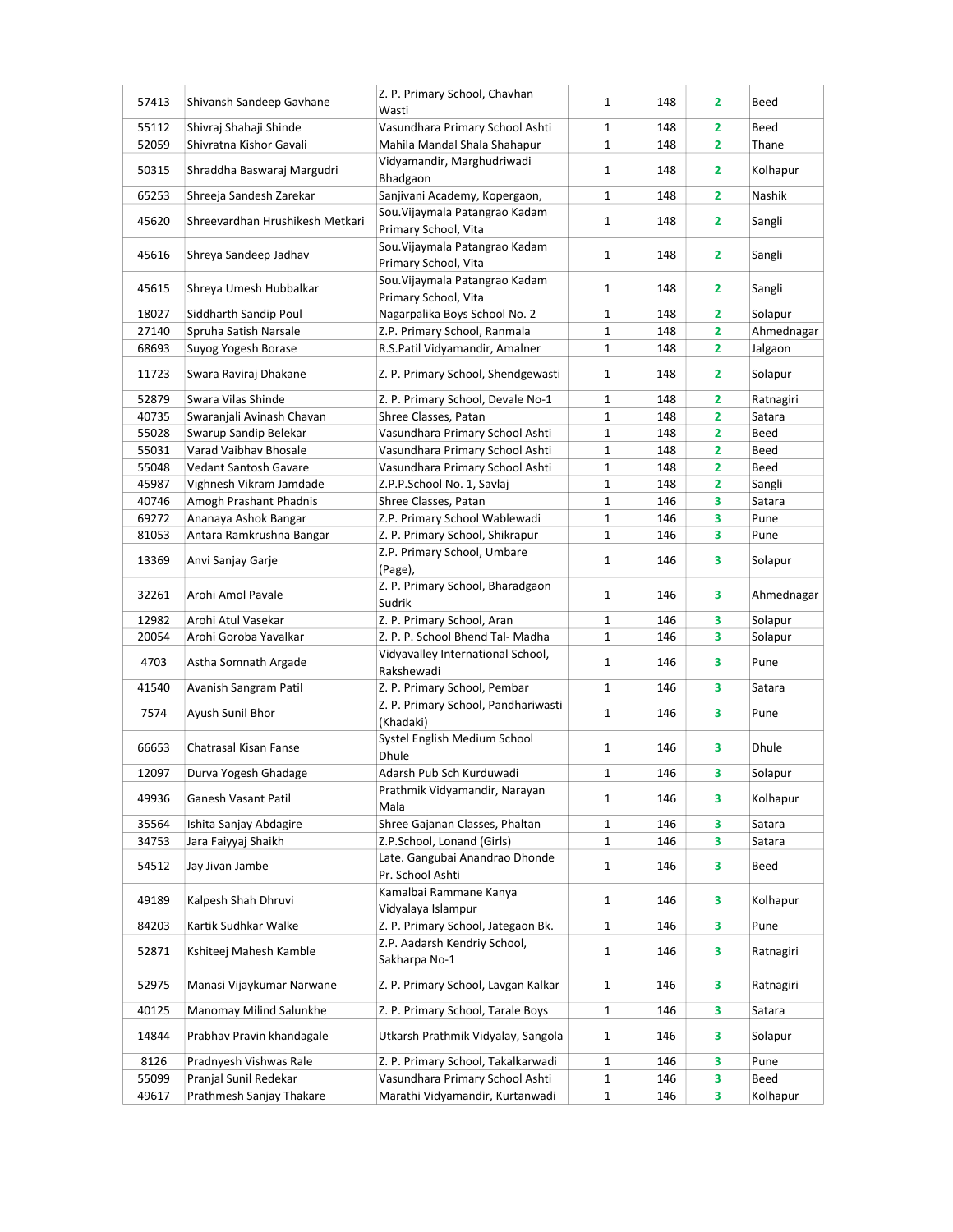| 57413 | Shivansh Sandeep Gavhane        | Z. P. Primary School, Chavhan<br>Wasti | $\mathbf{1}$ | 148 | 2                       | Beed       |
|-------|---------------------------------|----------------------------------------|--------------|-----|-------------------------|------------|
| 55112 | Shivraj Shahaji Shinde          | Vasundhara Primary School Ashti        | 1            | 148 | $\overline{\mathbf{2}}$ | Beed       |
| 52059 | Shivratna Kishor Gavali         | Mahila Mandal Shala Shahapur           | $\mathbf{1}$ | 148 | $\overline{\mathbf{2}}$ | Thane      |
|       |                                 | Vidyamandir, Marghudriwadi             |              |     |                         |            |
| 50315 | Shraddha Baswaraj Margudri      | Bhadgaon                               | $\mathbf{1}$ | 148 | $\mathbf{2}$            | Kolhapur   |
| 65253 | Shreeja Sandesh Zarekar         | Sanjivani Academy, Kopergaon,          | $\mathbf{1}$ | 148 | $\overline{2}$          | Nashik     |
|       |                                 | Sou. Vijaymala Patangrao Kadam         |              |     |                         |            |
| 45620 | Shreevardhan Hrushikesh Metkari | Primary School, Vita                   | $\mathbf{1}$ | 148 | 2                       | Sangli     |
|       |                                 | Sou. Vijaymala Patangrao Kadam         |              |     |                         |            |
| 45616 | Shreya Sandeep Jadhav           | Primary School, Vita                   | $\mathbf{1}$ | 148 | 2                       | Sangli     |
|       |                                 | Sou. Vijaymala Patangrao Kadam         |              |     |                         |            |
| 45615 | Shreya Umesh Hubbalkar          | Primary School, Vita                   | $\mathbf{1}$ | 148 | $\overline{\mathbf{2}}$ | Sangli     |
| 18027 | Siddharth Sandip Poul           | Nagarpalika Boys School No. 2          | $\mathbf 1$  | 148 | $\overline{\mathbf{2}}$ | Solapur    |
| 27140 | Spruha Satish Narsale           | Z.P. Primary School, Ranmala           | $\mathbf{1}$ | 148 | $\overline{\mathbf{2}}$ | Ahmednagar |
| 68693 | Suyog Yogesh Borase             | R.S.Patil Vidyamandir, Amalner         | $\mathbf{1}$ | 148 | 2                       | Jalgaon    |
|       |                                 |                                        |              |     |                         |            |
| 11723 | Swara Raviraj Dhakane           | Z. P. Primary School, Shendgewasti     | $\mathbf{1}$ | 148 | $\overline{2}$          | Solapur    |
| 52879 | Swara Vilas Shinde              | Z. P. Primary School, Devale No-1      | $\mathbf{1}$ | 148 | 2                       | Ratnagiri  |
| 40735 | Swaranjali Avinash Chavan       | Shree Classes, Patan                   | $\mathbf{1}$ | 148 | $\overline{\mathbf{2}}$ | Satara     |
| 55028 | Swarup Sandip Belekar           | Vasundhara Primary School Ashti        | 1            | 148 | $\overline{\mathbf{2}}$ | Beed       |
| 55031 | Varad Vaibhav Bhosale           | Vasundhara Primary School Ashti        | 1            | 148 | 2                       | Beed       |
| 55048 | <b>Vedant Santosh Gavare</b>    | Vasundhara Primary School Ashti        | $\mathbf 1$  | 148 | $\overline{\mathbf{2}}$ | Beed       |
| 45987 | Vighnesh Vikram Jamdade         | Z.P.P.School No. 1, Savlaj             | $\mathbf 1$  | 148 | 2                       | Sangli     |
| 40746 | Amogh Prashant Phadnis          | Shree Classes, Patan                   | $\mathbf{1}$ | 146 | 3                       | Satara     |
| 69272 |                                 |                                        | $\mathbf 1$  |     | 3                       | Pune       |
|       | Ananaya Ashok Bangar            | Z.P. Primary School Wablewadi          |              | 146 |                         |            |
| 81053 | Antara Ramkrushna Bangar        | Z. P. Primary School, Shikrapur        | $\mathbf{1}$ | 146 | 3                       | Pune       |
| 13369 | Anvi Sanjay Garje               | Z.P. Primary School, Umbare            | $\mathbf{1}$ | 146 | 3                       | Solapur    |
|       |                                 | (Page),                                |              |     |                         |            |
| 32261 | Arohi Amol Pavale               | Z. P. Primary School, Bharadgaon       | $\mathbf{1}$ | 146 | 3                       | Ahmednagar |
|       |                                 | Sudrik                                 |              |     |                         |            |
| 12982 | Arohi Atul Vasekar              | Z. P. Primary School, Aran             | $\mathbf{1}$ | 146 | 3                       | Solapur    |
| 20054 | Arohi Goroba Yavalkar           | Z. P. P. School Bhend Tal- Madha       | $\mathbf{1}$ | 146 | 3                       | Solapur    |
| 4703  | Astha Somnath Argade            | Vidyavalley International School,      | $\mathbf{1}$ | 146 | 3                       | Pune       |
|       |                                 | Rakshewadi                             |              |     |                         |            |
| 41540 | Avanish Sangram Patil           | Z. P. Primary School, Pembar           | $\mathbf{1}$ | 146 | 3                       | Satara     |
| 7574  | Ayush Sunil Bhor                | Z. P. Primary School, Pandhariwasti    | $\mathbf{1}$ | 146 | 3                       | Pune       |
|       |                                 | (Khadaki)                              |              |     |                         |            |
| 66653 | Chatrasal Kisan Fanse           | Systel English Medium School           | $\mathbf{1}$ | 146 | 3                       | Dhule      |
|       |                                 | Dhule                                  |              |     |                         |            |
| 12097 | Durva Yogesh Ghadage            | Adarsh Pub Sch Kurduwadi               | $\mathbf{1}$ | 146 | 3                       | Solapur    |
| 49936 | Ganesh Vasant Patil             | Prathmik Vidyamandir, Narayan          | $\mathbf{1}$ | 146 | 3                       | Kolhapur   |
|       |                                 | Mala                                   |              |     |                         |            |
| 35564 | Ishita Sanjay Abdagire          | Shree Gajanan Classes, Phaltan         | 1            | 146 | 3                       | Satara     |
| 34753 | Jara Faiyyaj Shaikh             | Z.P.School, Lonand (Girls)             | 1            | 146 | 3                       | Satara     |
| 54512 |                                 | Late. Gangubai Anandrao Dhonde         |              |     |                         |            |
|       | Jay Jivan Jambe                 | Pr. School Ashti                       | $\mathbf{1}$ | 146 | 3                       | Beed       |
|       |                                 | Kamalbai Rammane Kanya                 |              |     |                         |            |
| 49189 | Kalpesh Shah Dhruvi             | Vidyalaya Islampur                     | $\mathbf{1}$ | 146 | 3                       | Kolhapur   |
| 84203 | Kartik Sudhkar Walke            | Z. P. Primary School, Jategaon Bk.     | 1            | 146 | 3                       | Pune       |
|       |                                 | Z.P. Aadarsh Kendriy School,           |              |     |                         |            |
| 52871 | Kshiteej Mahesh Kamble          | Sakharpa No-1                          | $\mathbf{1}$ | 146 | 3                       | Ratnagiri  |
|       |                                 |                                        |              |     |                         |            |
| 52975 | Manasi Vijaykumar Narwane       | Z. P. Primary School, Lavgan Kalkar    | $\mathbf{1}$ | 146 | 3                       | Ratnagiri  |
| 40125 | Manomay Milind Salunkhe         | Z. P. Primary School, Tarale Boys      | 1            | 146 | 3                       | Satara     |
|       |                                 |                                        |              |     |                         |            |
| 14844 | Prabhav Pravin khandagale       | Utkarsh Prathmik Vidyalay, Sangola     | 1            | 146 | 3                       | Solapur    |
| 8126  | Pradnyesh Vishwas Rale          | Z. P. Primary School, Takalkarwadi     | $\mathbf{1}$ | 146 | 3                       | Pune       |
| 55099 | Pranjal Sunil Redekar           | Vasundhara Primary School Ashti        | $\mathbf{1}$ | 146 | 3                       | Beed       |
| 49617 | Prathmesh Sanjay Thakare        | Marathi Vidyamandir, Kurtanwadi        | 1            | 146 | 3                       | Kolhapur   |
|       |                                 |                                        |              |     |                         |            |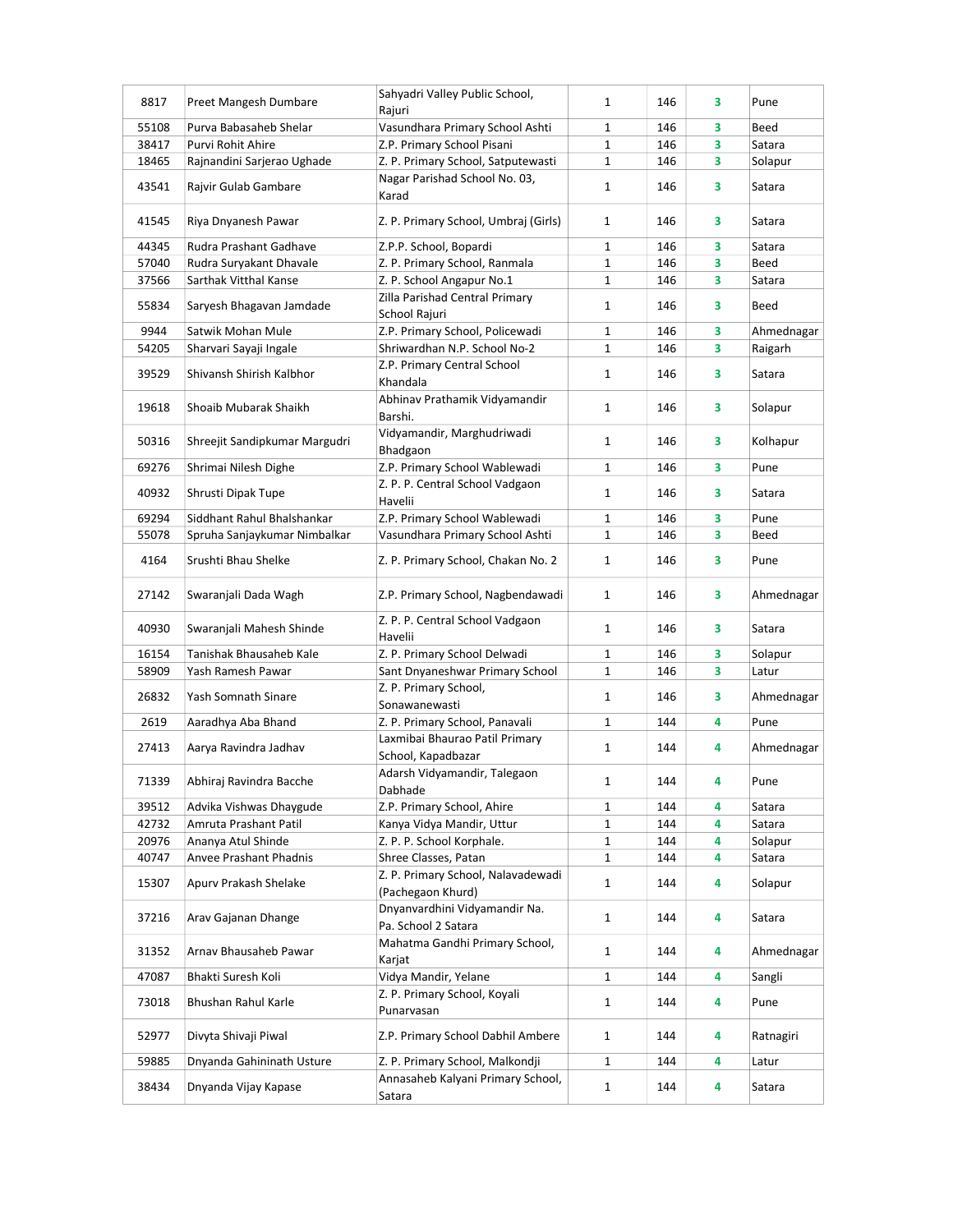| 8817  | Preet Mangesh Dumbare         | Sahyadri Valley Public School,<br>Rajuri                | $\mathbf{1}$ | 146 | 3 | Pune       |
|-------|-------------------------------|---------------------------------------------------------|--------------|-----|---|------------|
| 55108 | Purva Babasaheb Shelar        | Vasundhara Primary School Ashti                         | 1            | 146 | 3 | Beed       |
| 38417 | Purvi Rohit Ahire             | Z.P. Primary School Pisani                              | $\mathbf{1}$ | 146 | 3 | Satara     |
| 18465 | Rajnandini Sarjerao Ughade    | Z. P. Primary School, Satputewasti                      | $\mathbf{1}$ | 146 | 3 | Solapur    |
| 43541 | Rajvir Gulab Gambare          | Nagar Parishad School No. 03,<br>Karad                  | $\mathbf{1}$ | 146 | 3 | Satara     |
| 41545 | Riya Dnyanesh Pawar           | Z. P. Primary School, Umbraj (Girls)                    | 1            | 146 | 3 | Satara     |
| 44345 | Rudra Prashant Gadhave        | Z.P.P. School, Bopardi                                  | $\mathbf{1}$ | 146 | 3 | Satara     |
| 57040 | Rudra Suryakant Dhavale       | Z. P. Primary School, Ranmala                           | 1            | 146 | 3 | Beed       |
| 37566 | Sarthak Vitthal Kanse         | Z. P. School Angapur No.1                               | $\mathbf{1}$ | 146 | 3 | Satara     |
| 55834 | Saryesh Bhagavan Jamdade      | Zilla Parishad Central Primary<br>School Rajuri         | $\mathbf{1}$ | 146 | 3 | Beed       |
| 9944  | Satwik Mohan Mule             | Z.P. Primary School, Policewadi                         | $\mathbf{1}$ | 146 | 3 | Ahmednagar |
| 54205 | Sharvari Sayaji Ingale        | Shriwardhan N.P. School No-2                            | 1            | 146 | 3 | Raigarh    |
| 39529 | Shivansh Shirish Kalbhor      | Z.P. Primary Central School<br>Khandala                 | $\mathbf{1}$ | 146 | 3 | Satara     |
| 19618 | Shoaib Mubarak Shaikh         | Abhinav Prathamik Vidyamandir<br>Barshi.                | 1            | 146 | 3 | Solapur    |
| 50316 | Shreejit Sandipkumar Margudri | Vidyamandir, Marghudriwadi<br>Bhadgaon                  | $\mathbf{1}$ | 146 | 3 | Kolhapur   |
| 69276 | Shrimai Nilesh Dighe          | Z.P. Primary School Wablewadi                           | $\mathbf{1}$ | 146 | 3 | Pune       |
| 40932 | Shrusti Dipak Tupe            | Z. P. P. Central School Vadgaon<br>Havelii              | $\mathbf{1}$ | 146 | 3 | Satara     |
| 69294 | Siddhant Rahul Bhalshankar    | Z.P. Primary School Wablewadi                           | $\mathbf{1}$ | 146 | 3 | Pune       |
| 55078 | Spruha Sanjaykumar Nimbalkar  | Vasundhara Primary School Ashti                         | $\mathbf{1}$ | 146 | 3 | Beed       |
| 4164  | Srushti Bhau Shelke           | Z. P. Primary School, Chakan No. 2                      | $\mathbf{1}$ | 146 | 3 | Pune       |
| 27142 | Swaranjali Dada Wagh          | Z.P. Primary School, Nagbendawadi                       | $\mathbf{1}$ | 146 | 3 | Ahmednagar |
| 40930 | Swaranjali Mahesh Shinde      | Z. P. P. Central School Vadgaon<br>Havelii              | 1            | 146 | 3 | Satara     |
| 16154 | Tanishak Bhausaheb Kale       | Z. P. Primary School Delwadi                            | 1            | 146 | 3 | Solapur    |
| 58909 | Yash Ramesh Pawar             | Sant Dnyaneshwar Primary School                         | 1            | 146 | 3 | Latur      |
| 26832 | Yash Somnath Sinare           | Z. P. Primary School,<br>Sonawanewasti                  | $\mathbf{1}$ | 146 | 3 | Ahmednagar |
| 2619  | Aaradhya Aba Bhand            | Z. P. Primary School, Panavali                          | 1            | 144 | 4 | Pune       |
| 27413 | Aarya Ravindra Jadhav         | Laxmibai Bhaurao Patil Primary<br>School, Kapadbazar    | 1            | 144 | 4 | Ahmednagar |
| 71339 | Abhiraj Ravindra Bacche       | Adarsh Vidyamandir, Talegaon<br>Dabhade                 | 1            | 144 | 4 | Pune       |
| 39512 | Advika Vishwas Dhaygude       | Z.P. Primary School, Ahire                              | $\mathbf{1}$ | 144 | 4 | Satara     |
| 42732 | Amruta Prashant Patil         | Kanya Vidya Mandir, Uttur                               | 1            | 144 | 4 | Satara     |
| 20976 | Ananya Atul Shinde            | Z. P. P. School Korphale.                               | 1            | 144 | 4 | Solapur    |
| 40747 | Anvee Prashant Phadnis        | Shree Classes, Patan                                    | 1            | 144 | 4 | Satara     |
| 15307 | Apurv Prakash Shelake         | Z. P. Primary School, Nalavadewadi<br>(Pachegaon Khurd) | $\mathbf{1}$ | 144 | 4 | Solapur    |
| 37216 | Arav Gajanan Dhange           | Dnyanvardhini Vidyamandir Na.<br>Pa. School 2 Satara    | $\mathbf{1}$ | 144 | 4 | Satara     |
| 31352 | Arnav Bhausaheb Pawar         | Mahatma Gandhi Primary School,<br>Karjat                | $\mathbf{1}$ | 144 | 4 | Ahmednagar |
| 47087 | Bhakti Suresh Koli            | Vidya Mandir, Yelane                                    | 1            | 144 | 4 | Sangli     |
| 73018 | Bhushan Rahul Karle           | Z. P. Primary School, Koyali<br>Punarvasan              | $\mathbf{1}$ | 144 | 4 | Pune       |
| 52977 | Divyta Shivaji Piwal          | Z.P. Primary School Dabhil Ambere                       | $\mathbf{1}$ | 144 | 4 | Ratnagiri  |
| 59885 | Dnyanda Gahininath Usture     | Z. P. Primary School, Malkondji                         | $\mathbf{1}$ | 144 | 4 | Latur      |
| 38434 | Dnyanda Vijay Kapase          | Annasaheb Kalyani Primary School,                       | $\mathbf{1}$ | 144 | 4 | Satara     |
|       |                               | Satara                                                  |              |     |   |            |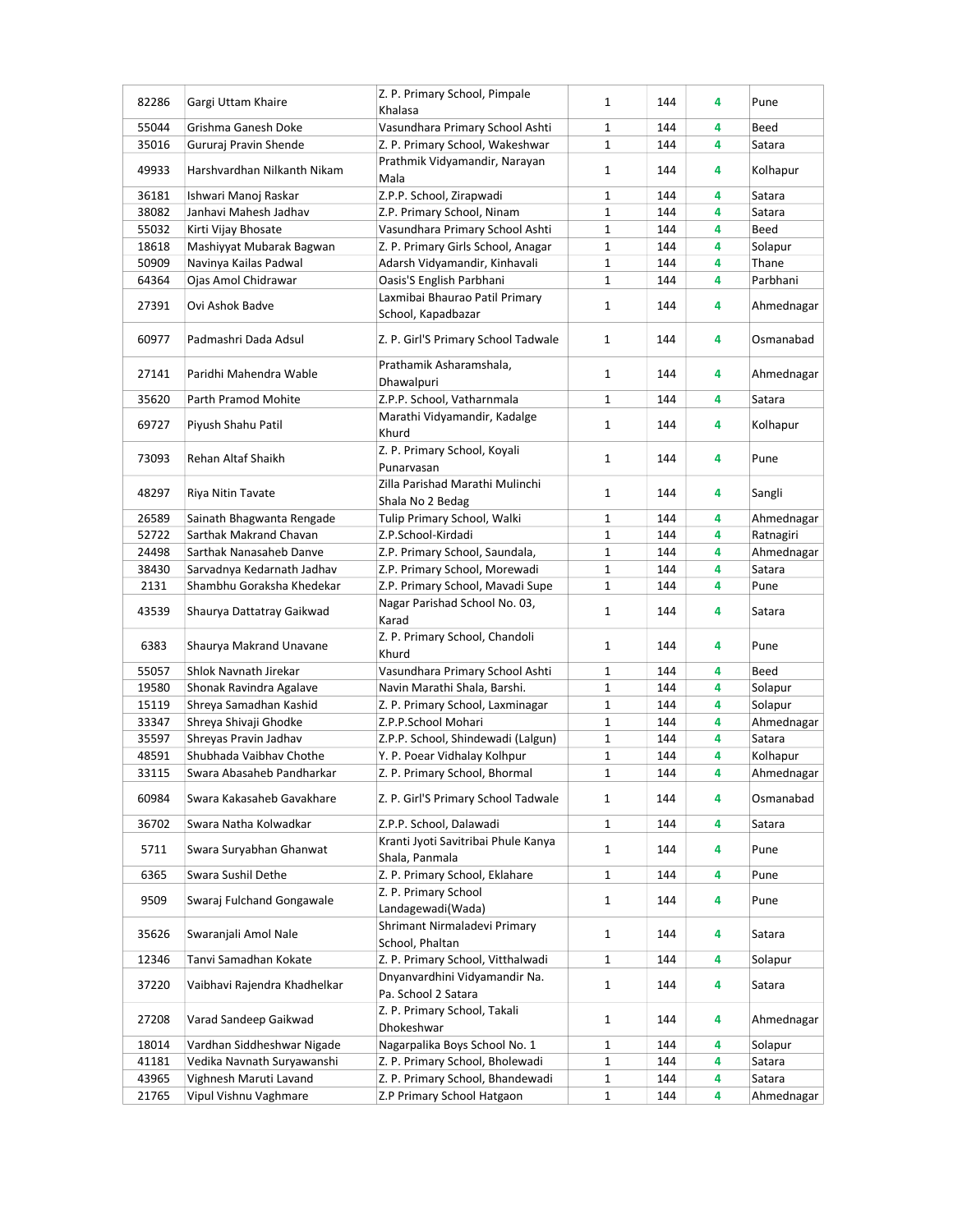| 82286 | Gargi Uttam Khaire           | Z. P. Primary School, Pimpale                          | 1            | 144 | 4 | Pune       |
|-------|------------------------------|--------------------------------------------------------|--------------|-----|---|------------|
|       |                              | Khalasa                                                |              |     |   |            |
| 55044 | Grishma Ganesh Doke          | Vasundhara Primary School Ashti                        | 1            | 144 | 4 | Beed       |
| 35016 | Gururaj Pravin Shende        | Z. P. Primary School, Wakeshwar                        | $\mathbf{1}$ | 144 | 4 | Satara     |
| 49933 | Harshvardhan Nilkanth Nikam  | Prathmik Vidyamandir, Narayan                          | 1            | 144 | 4 | Kolhapur   |
|       |                              | Mala                                                   |              |     |   |            |
| 36181 | Ishwari Manoj Raskar         | Z.P.P. School, Zirapwadi                               | $\mathbf{1}$ | 144 | 4 | Satara     |
| 38082 | Janhavi Mahesh Jadhav        | Z.P. Primary School, Ninam                             | $\mathbf 1$  | 144 | 4 | Satara     |
| 55032 | Kirti Vijay Bhosate          | Vasundhara Primary School Ashti                        | $\mathbf 1$  | 144 | 4 | Beed       |
| 18618 | Mashiyyat Mubarak Bagwan     | Z. P. Primary Girls School, Anagar                     | 1            | 144 | 4 | Solapur    |
| 50909 | Navinya Kailas Padwal        | Adarsh Vidyamandir, Kinhavali                          | 1            | 144 | 4 | Thane      |
| 64364 | Ojas Amol Chidrawar          | Oasis'S English Parbhani                               | $\mathbf{1}$ | 144 | 4 | Parbhani   |
| 27391 | Ovi Ashok Badve              | Laxmibai Bhaurao Patil Primary                         | $\mathbf{1}$ | 144 | 4 | Ahmednagar |
|       |                              | School, Kapadbazar                                     |              |     |   |            |
| 60977 | Padmashri Dada Adsul         | Z. P. Girl'S Primary School Tadwale                    | $\mathbf{1}$ | 144 | 4 | Osmanabad  |
| 27141 | Paridhi Mahendra Wable       | Prathamik Asharamshala,                                | 1            | 144 | 4 | Ahmednagar |
|       |                              | Dhawalpuri                                             |              |     |   |            |
| 35620 | Parth Pramod Mohite          | Z.P.P. School, Vatharnmala                             | $\mathbf{1}$ | 144 | 4 | Satara     |
| 69727 | Piyush Shahu Patil           | Marathi Vidyamandir, Kadalge                           | $\mathbf{1}$ | 144 | 4 | Kolhapur   |
|       |                              | Khurd                                                  |              |     |   |            |
| 73093 | Rehan Altaf Shaikh           | Z. P. Primary School, Koyali                           | 1            | 144 | 4 | Pune       |
|       |                              | Punarvasan                                             |              |     |   |            |
| 48297 | Riya Nitin Tavate            | Zilla Parishad Marathi Mulinchi                        | $\mathbf{1}$ | 144 | 4 | Sangli     |
|       |                              | Shala No 2 Bedag                                       |              |     |   |            |
| 26589 | Sainath Bhagwanta Rengade    | Tulip Primary School, Walki                            | 1            | 144 | 4 | Ahmednagar |
| 52722 | Sarthak Makrand Chavan       | Z.P.School-Kirdadi                                     | $\mathbf{1}$ | 144 | 4 | Ratnagiri  |
| 24498 | Sarthak Nanasaheb Danve      | Z.P. Primary School, Saundala,                         | 1            | 144 | 4 | Ahmednagar |
| 38430 | Sarvadnya Kedarnath Jadhav   | Z.P. Primary School, Morewadi                          | $\mathbf{1}$ | 144 | 4 | Satara     |
| 2131  | Shambhu Goraksha Khedekar    | Z.P. Primary School, Mavadi Supe                       | $\mathbf 1$  | 144 | 4 | Pune       |
| 43539 | Shaurya Dattatray Gaikwad    | Nagar Parishad School No. 03,                          | 1            | 144 | 4 | Satara     |
|       |                              | Karad                                                  |              |     |   |            |
| 6383  | Shaurya Makrand Unavane      | Z. P. Primary School, Chandoli                         | 1            | 144 | 4 | Pune       |
|       |                              | Khurd                                                  |              |     |   |            |
| 55057 | Shlok Navnath Jirekar        | Vasundhara Primary School Ashti                        | 1            | 144 | 4 | Beed       |
| 19580 | Shonak Ravindra Agalave      | Navin Marathi Shala, Barshi.                           | $\mathbf 1$  | 144 | 4 | Solapur    |
| 15119 | Shreya Samadhan Kashid       | Z. P. Primary School, Laxminagar                       | $\mathbf 1$  | 144 | 4 | Solapur    |
| 33347 | Shreya Shivaji Ghodke        | Z.P.P.School Mohari                                    | $\mathbf 1$  | 144 | 4 | Ahmednagar |
| 35597 | Shreyas Pravin Jadhav        | Z.P.P. School, Shindewadi (Lalgun)                     | 1            | 144 | 4 | Satara     |
| 48591 | Shubhada Vaibhav Chothe      | Y. P. Poear Vidhalay Kolhpur                           | 1            | 144 | 4 | Kolhapur   |
| 33115 | Swara Abasaheb Pandharkar    | Z. P. Primary School, Bhormal                          | $\mathbf 1$  | 144 | 4 | Ahmednagar |
| 60984 | Swara Kakasaheb Gavakhare    | Z. P. Girl'S Primary School Tadwale                    | 1            | 144 | 4 | Osmanabad  |
|       |                              |                                                        |              |     |   |            |
| 36702 | Swara Natha Kolwadkar        | Z.P.P. School, Dalawadi                                | 1            | 144 | 4 | Satara     |
| 5711  | Swara Suryabhan Ghanwat      | Kranti Jyoti Savitribai Phule Kanya                    | $\mathbf{1}$ | 144 | 4 | Pune       |
|       | Swara Sushil Dethe           | Shala, Panmala                                         |              |     |   |            |
| 6365  |                              | Z. P. Primary School, Eklahare<br>Z. P. Primary School | $\mathbf{1}$ | 144 | 4 | Pune       |
| 9509  | Swaraj Fulchand Gongawale    | Landagewadi(Wada)                                      | $\mathbf{1}$ | 144 | 4 | Pune       |
|       |                              | Shrimant Nirmaladevi Primary                           |              |     |   |            |
| 35626 | Swaranjali Amol Nale         | School, Phaltan                                        | 1            | 144 | 4 | Satara     |
| 12346 | Tanvi Samadhan Kokate        | Z. P. Primary School, Vitthalwadi                      | 1            | 144 | 4 | Solapur    |
|       |                              | Dnyanvardhini Vidyamandir Na.                          |              |     |   |            |
| 37220 | Vaibhavi Rajendra Khadhelkar | Pa. School 2 Satara                                    | $\mathbf{1}$ | 144 | 4 | Satara     |
|       |                              | Z. P. Primary School, Takali                           |              |     |   |            |
| 27208 | Varad Sandeep Gaikwad        | Dhokeshwar                                             | $\mathbf{1}$ | 144 | 4 | Ahmednagar |
| 18014 | Vardhan Siddheshwar Nigade   | Nagarpalika Boys School No. 1                          | 1            | 144 | 4 | Solapur    |
| 41181 | Vedika Navnath Suryawanshi   | Z. P. Primary School, Bholewadi                        | $\mathbf 1$  | 144 | 4 | Satara     |
| 43965 | Vighnesh Maruti Lavand       | Z. P. Primary School, Bhandewadi                       | 1            | 144 | 4 | Satara     |
| 21765 | Vipul Vishnu Vaghmare        | Z.P Primary School Hatgaon                             | $\mathbf{1}$ | 144 | 4 | Ahmednagar |
|       |                              |                                                        |              |     |   |            |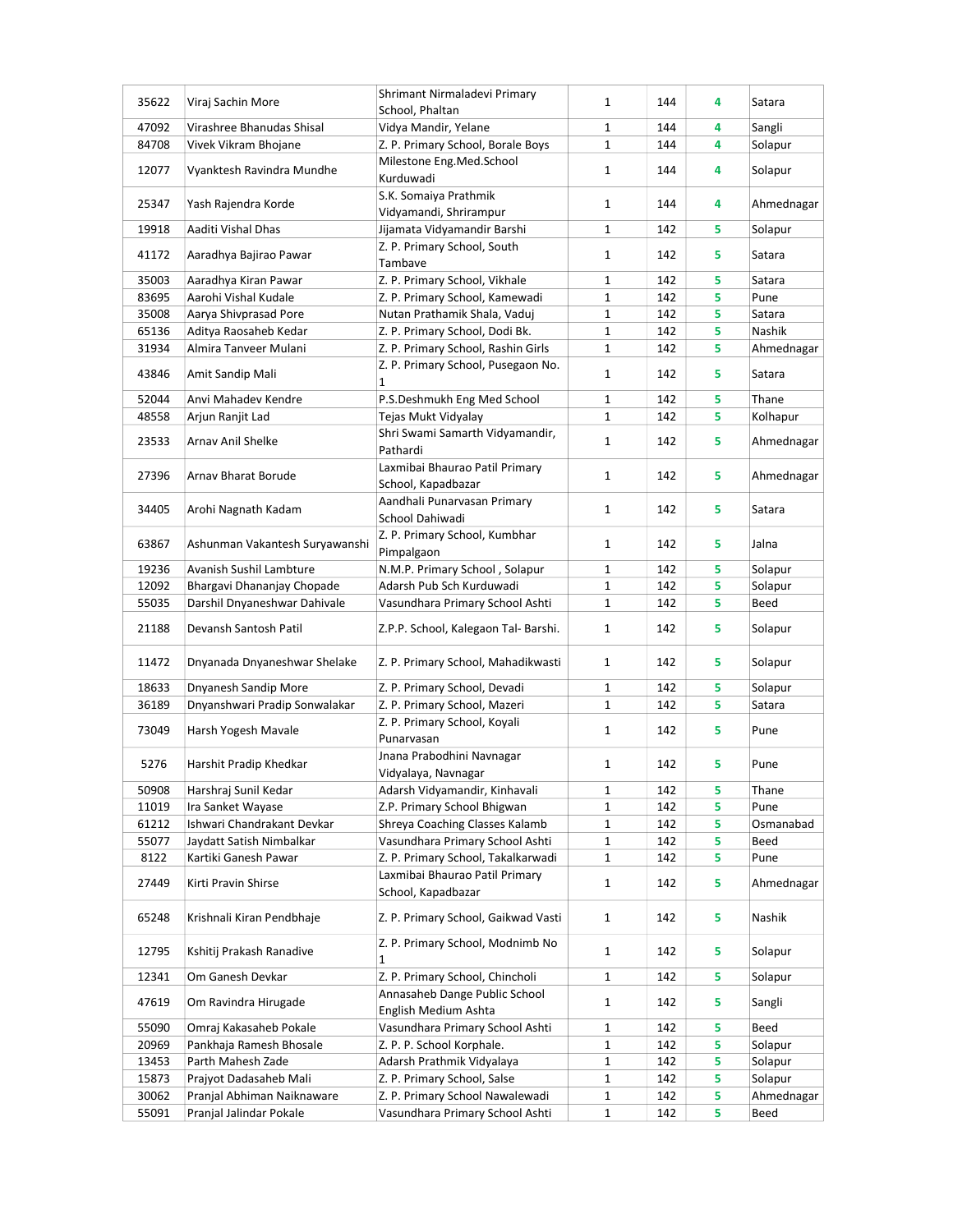| 35622 | Viraj Sachin More              | Shrimant Nirmaladevi Primary<br>School, Phaltan | $\mathbf{1}$ | 144 | 4 | Satara     |
|-------|--------------------------------|-------------------------------------------------|--------------|-----|---|------------|
| 47092 | Virashree Bhanudas Shisal      | Vidya Mandir, Yelane                            | 1            | 144 | 4 | Sangli     |
| 84708 | Vivek Vikram Bhojane           | Z. P. Primary School, Borale Boys               | $\mathbf 1$  | 144 | 4 | Solapur    |
|       |                                | Milestone Eng.Med.School                        |              |     |   |            |
| 12077 | Vyanktesh Ravindra Mundhe      | Kurduwadi                                       | $\mathbf{1}$ | 144 | 4 | Solapur    |
|       |                                | S.K. Somaiya Prathmik                           |              |     |   |            |
| 25347 | Yash Rajendra Korde            | Vidyamandi, Shrirampur                          | $\mathbf{1}$ | 144 | 4 | Ahmednagar |
| 19918 | Aaditi Vishal Dhas             | Jijamata Vidyamandir Barshi                     | $\mathbf{1}$ | 142 | 5 | Solapur    |
|       |                                | Z. P. Primary School, South                     |              |     |   |            |
| 41172 | Aaradhya Bajirao Pawar         | Tambave                                         | $\mathbf{1}$ | 142 | 5 | Satara     |
| 35003 | Aaradhya Kiran Pawar           | Z. P. Primary School, Vikhale                   | $\mathbf{1}$ | 142 | 5 | Satara     |
| 83695 | Aarohi Vishal Kudale           | Z. P. Primary School, Kamewadi                  | $\mathbf{1}$ | 142 | 5 | Pune       |
| 35008 | Aarya Shivprasad Pore          | Nutan Prathamik Shala, Vaduj                    | $\mathbf 1$  | 142 | 5 | Satara     |
| 65136 | Aditya Raosaheb Kedar          | Z. P. Primary School, Dodi Bk.                  | $\mathbf 1$  | 142 | 5 | Nashik     |
| 31934 | Almira Tanveer Mulani          | Z. P. Primary School, Rashin Girls              | 1            | 142 | 5 | Ahmednagar |
|       |                                | Z. P. Primary School, Pusegaon No.              |              |     |   |            |
| 43846 | Amit Sandip Mali               | 1                                               | 1            | 142 | 5 | Satara     |
| 52044 | Anvi Mahadev Kendre            | P.S.Deshmukh Eng Med School                     | $\mathbf{1}$ | 142 | 5 | Thane      |
| 48558 | Arjun Ranjit Lad               | Tejas Mukt Vidyalay                             | $\mathbf 1$  | 142 | 5 | Kolhapur   |
|       |                                | Shri Swami Samarth Vidyamandir,                 |              |     |   |            |
| 23533 | Arnav Anil Shelke              | Pathardi                                        | $\mathbf{1}$ | 142 | 5 | Ahmednagar |
|       |                                | Laxmibai Bhaurao Patil Primary                  |              |     |   |            |
| 27396 | Arnav Bharat Borude            | School, Kapadbazar                              | $\mathbf{1}$ | 142 | 5 | Ahmednagar |
|       |                                | Aandhali Punarvasan Primary                     |              |     |   |            |
| 34405 | Arohi Nagnath Kadam            | School Dahiwadi                                 | $\mathbf{1}$ | 142 | 5 | Satara     |
|       |                                | Z. P. Primary School, Kumbhar                   |              |     |   |            |
| 63867 | Ashunman Vakantesh Suryawanshi | Pimpalgaon                                      | $\mathbf{1}$ | 142 | 5 | Jalna      |
| 19236 | Avanish Sushil Lambture        | N.M.P. Primary School, Solapur                  | 1            | 142 | 5 | Solapur    |
| 12092 | Bhargavi Dhananjay Chopade     | Adarsh Pub Sch Kurduwadi                        | $\mathbf{1}$ | 142 | 5 | Solapur    |
| 55035 |                                |                                                 | $\mathbf{1}$ |     | 5 | Beed       |
|       | Darshil Dnyaneshwar Dahivale   | Vasundhara Primary School Ashti                 |              | 142 |   |            |
| 21188 | Devansh Santosh Patil          | Z.P.P. School, Kalegaon Tal- Barshi.            | $\mathbf{1}$ | 142 | 5 | Solapur    |
|       |                                |                                                 |              |     |   |            |
| 11472 | Dnyanada Dnyaneshwar Shelake   | Z. P. Primary School, Mahadikwasti              | $\mathbf{1}$ | 142 | 5 | Solapur    |
|       |                                |                                                 |              |     |   |            |
| 18633 | Dnyanesh Sandip More           | Z. P. Primary School, Devadi                    | 1            | 142 | 5 | Solapur    |
| 36189 | Dnyanshwari Pradip Sonwalakar  | Z. P. Primary School, Mazeri                    | $\mathbf{1}$ | 142 | 5 | Satara     |
| 73049 | Harsh Yogesh Mavale            | Z. P. Primary School, Koyali                    | 1            | 142 | 5 | Pune       |
|       |                                | Punarvasan                                      |              |     |   |            |
| 5276  | Harshit Pradip Khedkar         | Jnana Prabodhini Navnagar                       | $\mathbf{1}$ | 142 | 5 | Pune       |
|       |                                | Vidyalaya, Navnagar                             |              |     |   |            |
| 50908 | Harshraj Sunil Kedar           | Adarsh Vidyamandir, Kinhavali                   | 1            | 142 | 5 | Thane      |
| 11019 | Ira Sanket Wayase              | Z.P. Primary School Bhigwan                     | $\mathbf 1$  | 142 | 5 | Pune       |
| 61212 | Ishwari Chandrakant Devkar     | Shreya Coaching Classes Kalamb                  | 1            | 142 | 5 | Osmanabad  |
| 55077 | Jaydatt Satish Nimbalkar       | Vasundhara Primary School Ashti                 | 1            | 142 | 5 | Beed       |
| 8122  | Kartiki Ganesh Pawar           | Z. P. Primary School, Takalkarwadi              | $\mathbf 1$  | 142 | 5 | Pune       |
| 27449 | Kirti Pravin Shirse            | Laxmibai Bhaurao Patil Primary                  | 1            | 142 | 5 | Ahmednagar |
|       |                                | School, Kapadbazar                              |              |     |   |            |
| 65248 | Krishnali Kiran Pendbhaje      | Z. P. Primary School, Gaikwad Vasti             | $\mathbf{1}$ | 142 | 5 | Nashik     |
|       |                                |                                                 |              |     |   |            |
| 12795 | Kshitij Prakash Ranadive       | Z. P. Primary School, Modnimb No                | $\mathbf{1}$ | 142 | 5 | Solapur    |
|       |                                | 1                                               |              |     |   |            |
| 12341 | Om Ganesh Devkar               | Z. P. Primary School, Chincholi                 | 1            | 142 | 5 | Solapur    |
| 47619 | Om Ravindra Hirugade           | Annasaheb Dange Public School                   | 1            | 142 | 5 | Sangli     |
|       |                                | English Medium Ashta                            |              |     |   |            |
| 55090 | Omraj Kakasaheb Pokale         | Vasundhara Primary School Ashti                 | $\mathbf{1}$ | 142 | 5 | Beed       |
| 20969 | Pankhaja Ramesh Bhosale        | Z. P. P. School Korphale.                       | $\mathbf 1$  | 142 | 5 | Solapur    |
| 13453 | Parth Mahesh Zade              | Adarsh Prathmik Vidyalaya                       | $\mathbf 1$  | 142 | 5 | Solapur    |
| 15873 | Prajyot Dadasaheb Mali         | Z. P. Primary School, Salse                     | 1            | 142 | 5 | Solapur    |
| 30062 | Pranjal Abhiman Naiknaware     | Z. P. Primary School Nawalewadi                 | 1            | 142 | 5 | Ahmednagar |
| 55091 | Pranjal Jalindar Pokale        | Vasundhara Primary School Ashti                 | 1            | 142 | 5 | Beed       |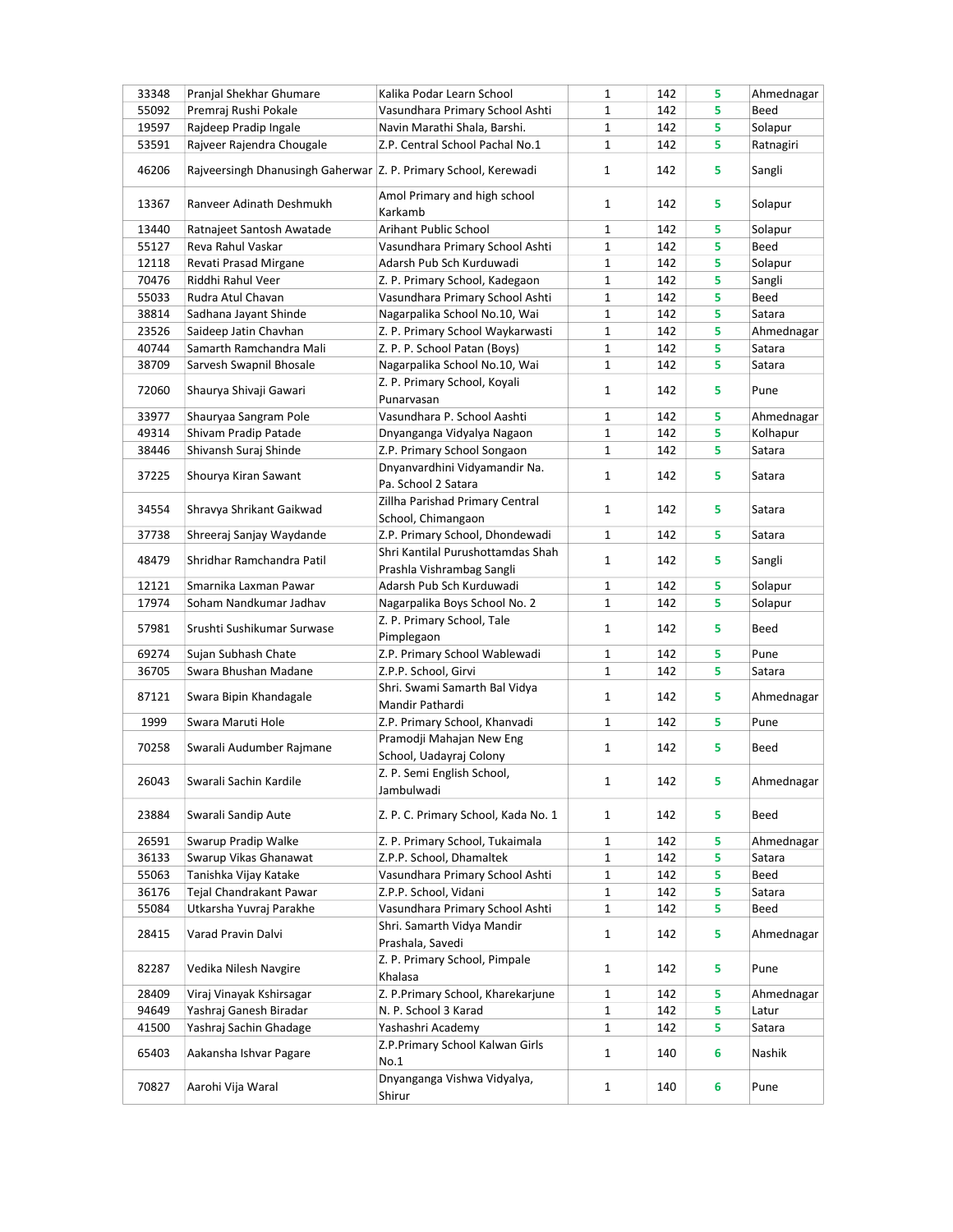| 33348 | Pranjal Shekhar Ghumare                                         | Kalika Podar Learn School                        | 1            | 142 | 5 | Ahmednagar |
|-------|-----------------------------------------------------------------|--------------------------------------------------|--------------|-----|---|------------|
| 55092 | Premraj Rushi Pokale                                            | Vasundhara Primary School Ashti                  | 1            | 142 | 5 | Beed       |
| 19597 | Rajdeep Pradip Ingale                                           | Navin Marathi Shala, Barshi.                     | $\mathbf 1$  | 142 | 5 | Solapur    |
| 53591 | Rajveer Rajendra Chougale                                       | Z.P. Central School Pachal No.1                  | $\mathbf{1}$ | 142 | 5 | Ratnagiri  |
| 46206 | Rajveersingh Dhanusingh Gaherwar Z. P. Primary School, Kerewadi |                                                  | $\mathbf{1}$ | 142 | 5 | Sangli     |
| 13367 | Ranveer Adinath Deshmukh                                        | Amol Primary and high school<br>Karkamb          | 1            | 142 | 5 | Solapur    |
| 13440 | Ratnajeet Santosh Awatade                                       | Arihant Public School                            | 1            | 142 | 5 | Solapur    |
| 55127 | Reva Rahul Vaskar                                               | Vasundhara Primary School Ashti                  | 1            | 142 | 5 | Beed       |
| 12118 | Revati Prasad Mirgane                                           | Adarsh Pub Sch Kurduwadi                         | 1            | 142 | 5 | Solapur    |
| 70476 | Riddhi Rahul Veer                                               | Z. P. Primary School, Kadegaon                   | 1            | 142 | 5 | Sangli     |
| 55033 | Rudra Atul Chavan                                               | Vasundhara Primary School Ashti                  | $\mathbf 1$  | 142 | 5 | Beed       |
| 38814 |                                                                 |                                                  | $\mathbf 1$  |     | 5 |            |
|       | Sadhana Jayant Shinde                                           | Nagarpalika School No.10, Wai                    |              | 142 |   | Satara     |
| 23526 | Saideep Jatin Chavhan                                           | Z. P. Primary School Waykarwasti                 | $\mathbf 1$  | 142 | 5 | Ahmednagar |
| 40744 | Samarth Ramchandra Mali                                         | Z. P. P. School Patan (Boys)                     | 1            | 142 | 5 | Satara     |
| 38709 | Sarvesh Swapnil Bhosale                                         | Nagarpalika School No.10, Wai                    | 1            | 142 | 5 | Satara     |
| 72060 | Shaurya Shivaji Gawari                                          | Z. P. Primary School, Koyali                     | 1            | 142 | 5 | Pune       |
|       |                                                                 | Punarvasan                                       |              |     |   |            |
| 33977 | Shauryaa Sangram Pole                                           | Vasundhara P. School Aashti                      | 1            | 142 | 5 | Ahmednagar |
| 49314 | Shivam Pradip Patade                                            | Dnyanganga Vidyalya Nagaon                       | $\mathbf{1}$ | 142 | 5 | Kolhapur   |
| 38446 | Shivansh Suraj Shinde                                           | Z.P. Primary School Songaon                      | 1            | 142 | 5 | Satara     |
|       |                                                                 | Dnyanvardhini Vidyamandir Na.                    |              |     |   |            |
| 37225 | Shourya Kiran Sawant                                            | Pa. School 2 Satara                              | 1            | 142 | 5 | Satara     |
|       |                                                                 | Zillha Parishad Primary Central                  |              |     |   |            |
| 34554 | Shravya Shrikant Gaikwad                                        | School, Chimangaon                               | 1            | 142 | 5 | Satara     |
| 37738 | Shreeraj Sanjay Waydande                                        | Z.P. Primary School, Dhondewadi                  | 1            | 142 | 5 | Satara     |
|       |                                                                 | Shri Kantilal Purushottamdas Shah                |              |     |   |            |
| 48479 | Shridhar Ramchandra Patil                                       |                                                  | 1            | 142 | 5 | Sangli     |
|       |                                                                 | Prashla Vishrambag Sangli                        |              |     |   |            |
| 12121 | Smarnika Laxman Pawar                                           | Adarsh Pub Sch Kurduwadi                         | 1            | 142 | 5 | Solapur    |
| 17974 | Soham Nandkumar Jadhav                                          | Nagarpalika Boys School No. 2                    | $\mathbf 1$  | 142 | 5 | Solapur    |
| 57981 | Srushti Sushikumar Surwase                                      | Z. P. Primary School, Tale<br>Pimplegaon         | $\mathbf{1}$ | 142 | 5 | Beed       |
| 69274 | Sujan Subhash Chate                                             | Z.P. Primary School Wablewadi                    | 1            | 142 | 5 | Pune       |
| 36705 | Swara Bhushan Madane                                            | Z.P.P. School, Girvi                             | $\mathbf{1}$ | 142 | 5 | Satara     |
| 87121 | Swara Bipin Khandagale                                          | Shri. Swami Samarth Bal Vidya<br>Mandir Pathardi | 1            | 142 | 5 | Ahmednagar |
| 1999  | Swara Maruti Hole                                               | Z.P. Primary School, Khanvadi                    | 1            | 142 | 5 | Pune       |
|       |                                                                 | Pramodji Mahajan New Eng                         |              |     |   |            |
| 70258 | Swarali Audumber Rajmane                                        | School, Uadayraj Colony                          | 1            | 142 | 5 | Beed       |
| 26043 | Swarali Sachin Kardile                                          | Z. P. Semi English School,                       | 1            | 142 | 5 | Ahmednagar |
|       |                                                                 | Jambulwadi                                       |              |     |   |            |
| 23884 | Swarali Sandip Aute                                             | Z. P. C. Primary School, Kada No. 1              | 1            | 142 | 5 | Beed       |
| 26591 | Swarup Pradip Walke                                             | Z. P. Primary School, Tukaimala                  | 1            | 142 | 5 | Ahmednagar |
| 36133 | Swarup Vikas Ghanawat                                           | Z.P.P. School, Dhamaltek                         | $\mathbf{1}$ | 142 | 5 | Satara     |
| 55063 | Tanishka Vijay Katake                                           | Vasundhara Primary School Ashti                  | $\mathbf{1}$ | 142 | 5 | Beed       |
| 36176 | Tejal Chandrakant Pawar                                         | Z.P.P. School, Vidani                            | $\mathbf{1}$ | 142 | 5 | Satara     |
| 55084 | Utkarsha Yuvraj Parakhe                                         | Vasundhara Primary School Ashti                  | $\mathbf{1}$ | 142 | 5 | Beed       |
|       |                                                                 | Shri. Samarth Vidya Mandir                       |              |     |   |            |
| 28415 | Varad Pravin Dalvi                                              | Prashala, Savedi                                 | 1            | 142 | 5 | Ahmednagar |
| 82287 | Vedika Nilesh Navgire                                           | Z. P. Primary School, Pimpale<br>Khalasa         | 1            | 142 | 5 | Pune       |
| 28409 | Viraj Vinayak Kshirsagar                                        | Z. P.Primary School, Kharekarjune                | 1            | 142 | 5 | Ahmednagar |
| 94649 | Yashraj Ganesh Biradar                                          | N. P. School 3 Karad                             | 1            | 142 | 5 | Latur      |
| 41500 | Yashraj Sachin Ghadage                                          | Yashashri Academy                                | 1            | 142 | 5 | Satara     |
| 65403 | Aakansha Ishvar Pagare                                          | Z.P.Primary School Kalwan Girls<br>No.1          | $\mathbf{1}$ | 140 | 6 | Nashik     |
|       |                                                                 |                                                  |              |     |   |            |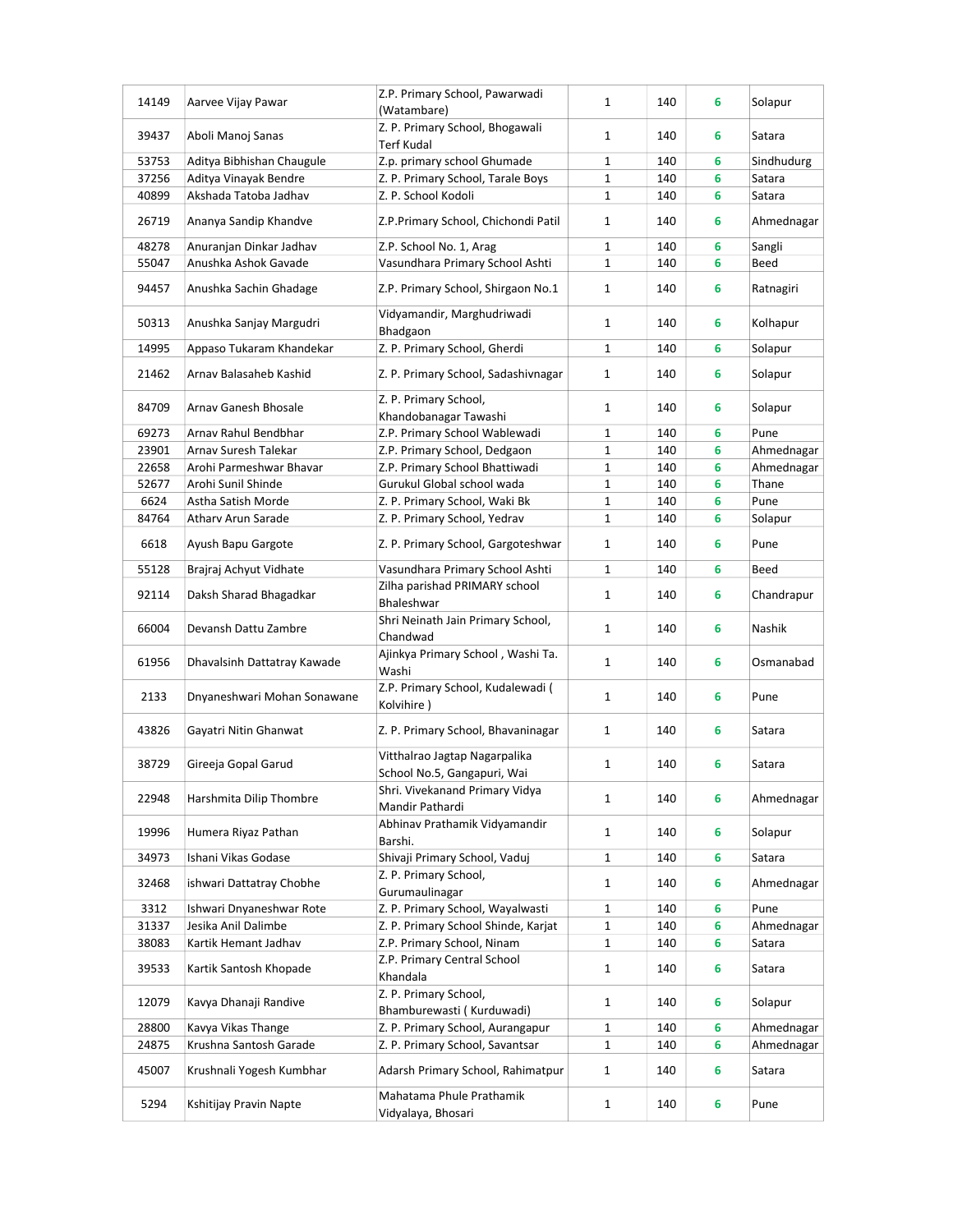| 14149 | Aarvee Vijay Pawar          | Z.P. Primary School, Pawarwadi<br>(Watambare)                | $\mathbf{1}$ | 140 | 6 | Solapur    |
|-------|-----------------------------|--------------------------------------------------------------|--------------|-----|---|------------|
| 39437 | Aboli Manoj Sanas           | Z. P. Primary School, Bhogawali<br>Terf Kudal                | 1            | 140 | 6 | Satara     |
| 53753 | Aditya Bibhishan Chaugule   | Z.p. primary school Ghumade                                  | $\mathbf{1}$ | 140 | 6 | Sindhudurg |
| 37256 | Aditya Vinayak Bendre       | Z. P. Primary School, Tarale Boys                            | 1            | 140 | 6 | Satara     |
| 40899 | Akshada Tatoba Jadhav       | Z. P. School Kodoli                                          | $\mathbf{1}$ | 140 | 6 | Satara     |
| 26719 | Ananya Sandip Khandve       | Z.P.Primary School, Chichondi Patil                          | 1            | 140 | 6 | Ahmednagar |
| 48278 | Anuranjan Dinkar Jadhav     | Z.P. School No. 1, Arag                                      | $\mathbf{1}$ | 140 | 6 | Sangli     |
| 55047 | Anushka Ashok Gavade        | Vasundhara Primary School Ashti                              | $\mathbf{1}$ | 140 | 6 | Beed       |
| 94457 | Anushka Sachin Ghadage      | Z.P. Primary School, Shirgaon No.1                           | $\mathbf{1}$ | 140 | 6 | Ratnagiri  |
| 50313 | Anushka Sanjay Margudri     | Vidyamandir, Marghudriwadi<br>Bhadgaon                       | $\mathbf{1}$ | 140 | 6 | Kolhapur   |
| 14995 | Appaso Tukaram Khandekar    | Z. P. Primary School, Gherdi                                 | $\mathbf{1}$ | 140 | 6 | Solapur    |
|       |                             |                                                              |              |     |   |            |
| 21462 | Arnav Balasaheb Kashid      | Z. P. Primary School, Sadashivnagar                          | $\mathbf{1}$ | 140 | 6 | Solapur    |
| 84709 | Arnav Ganesh Bhosale        | Z. P. Primary School,<br>Khandobanagar Tawashi               | $\mathbf{1}$ | 140 | 6 | Solapur    |
| 69273 | Arnav Rahul Bendbhar        | Z.P. Primary School Wablewadi                                | $\mathbf{1}$ | 140 | 6 | Pune       |
| 23901 | Arnav Suresh Talekar        | Z.P. Primary School, Dedgaon                                 | 1            | 140 | 6 | Ahmednagar |
| 22658 | Arohi Parmeshwar Bhavar     | Z.P. Primary School Bhattiwadi                               | $\mathbf 1$  | 140 | 6 | Ahmednagar |
| 52677 | Arohi Sunil Shinde          | Gurukul Global school wada                                   | $\mathbf 1$  | 140 | 6 | Thane      |
| 6624  | Astha Satish Morde          | Z. P. Primary School, Waki Bk                                | $\mathbf 1$  | 140 | 6 | Pune       |
| 84764 | Atharv Arun Sarade          | Z. P. Primary School, Yedrav                                 | $\mathbf{1}$ | 140 | 6 | Solapur    |
| 6618  | Ayush Bapu Gargote          | Z. P. Primary School, Gargoteshwar                           | $\mathbf{1}$ | 140 | 6 | Pune       |
| 55128 | Brajraj Achyut Vidhate      | Vasundhara Primary School Ashti                              | $\mathbf{1}$ | 140 | 6 | Beed       |
|       |                             | Zilha parishad PRIMARY school                                |              |     |   |            |
| 92114 | Daksh Sharad Bhagadkar      | Bhaleshwar                                                   | $\mathbf{1}$ | 140 | 6 | Chandrapur |
| 66004 | Devansh Dattu Zambre        | Shri Neinath Jain Primary School,<br>Chandwad                | $\mathbf{1}$ | 140 | 6 | Nashik     |
| 61956 | Dhavalsinh Dattatray Kawade | Ajinkya Primary School, Washi Ta.<br>Washi                   | $\mathbf{1}$ | 140 | 6 | Osmanabad  |
| 2133  | Dnyaneshwari Mohan Sonawane | Z.P. Primary School, Kudalewadi (<br>Kolvihire)              | $\mathbf{1}$ | 140 | 6 | Pune       |
| 43826 | Gayatri Nitin Ghanwat       | Z. P. Primary School, Bhavaninagar                           | $\mathbf{1}$ | 140 | 6 | Satara     |
| 38729 | Gireeja Gopal Garud         | Vitthalrao Jagtap Nagarpalika<br>School No.5, Gangapuri, Wai | $\mathbf 1$  | 140 | 6 | Satara     |
| 22948 | Harshmita Dilip Thombre     | Shri. Vivekanand Primary Vidya<br>Mandir Pathardi            | 1            | 140 | 6 | Ahmednagar |
| 19996 | Humera Riyaz Pathan         | Abhinav Prathamik Vidyamandir<br>Barshi.                     | 1            | 140 | 6 | Solapur    |
| 34973 | Ishani Vikas Godase         | Shivaji Primary School, Vaduj                                | 1            | 140 | 6 | Satara     |
| 32468 | ishwari Dattatray Chobhe    | Z. P. Primary School,<br>Gurumaulinagar                      | 1            | 140 | 6 | Ahmednagar |
| 3312  | Ishwari Dnyaneshwar Rote    | Z. P. Primary School, Wayalwasti                             | $\mathbf{1}$ | 140 | 6 | Pune       |
| 31337 | Jesika Anil Dalimbe         | Z. P. Primary School Shinde, Karjat                          | 1            | 140 | 6 | Ahmednagar |
| 38083 | Kartik Hemant Jadhav        | Z.P. Primary School, Ninam                                   | 1            | 140 | 6 | Satara     |
| 39533 | Kartik Santosh Khopade      | Z.P. Primary Central School<br>Khandala                      | $\mathbf{1}$ | 140 | 6 | Satara     |
| 12079 | Kavya Dhanaji Randive       | Z. P. Primary School,<br>Bhamburewasti (Kurduwadi)           | 1            | 140 | 6 | Solapur    |
| 28800 | Kavya Vikas Thange          | Z. P. Primary School, Aurangapur                             | 1            | 140 | 6 | Ahmednagar |
| 24875 | Krushna Santosh Garade      | Z. P. Primary School, Savantsar                              | 1            | 140 | 6 | Ahmednagar |
|       |                             |                                                              |              |     |   |            |
| 45007 | Krushnali Yogesh Kumbhar    | Adarsh Primary School, Rahimatpur                            | 1            | 140 | 6 | Satara     |
| 5294  | Kshitijay Pravin Napte      | Mahatama Phule Prathamik<br>Vidyalaya, Bhosari               | 1            | 140 | 6 | Pune       |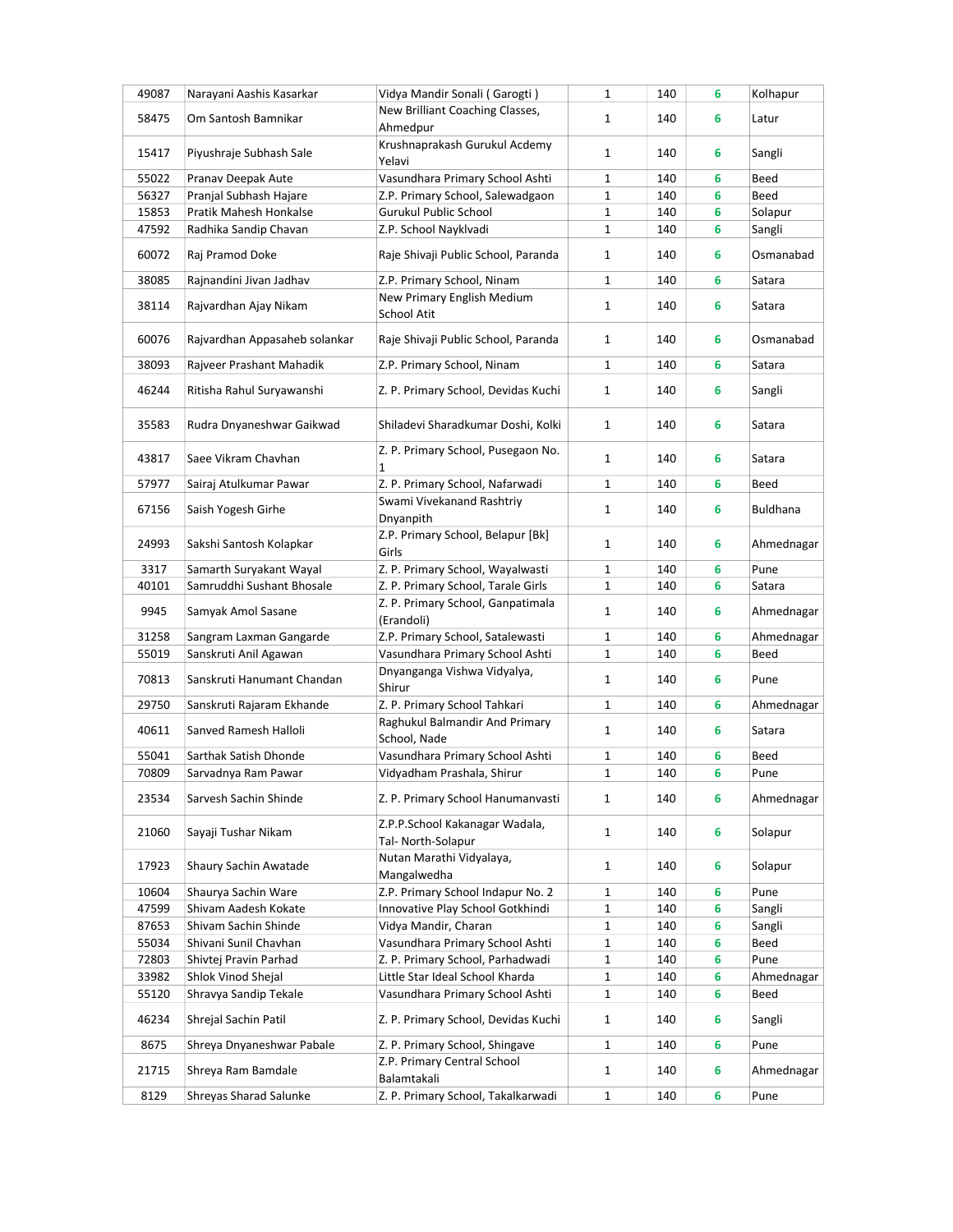| 49087 | Narayani Aashis Kasarkar      | Vidya Mandir Sonali (Garogti)       | $\mathbf{1}$ | 140 | 6 | Kolhapur        |
|-------|-------------------------------|-------------------------------------|--------------|-----|---|-----------------|
|       |                               | New Brilliant Coaching Classes,     |              |     |   |                 |
| 58475 | Om Santosh Bamnikar           | Ahmedpur                            | 1            | 140 | 6 | Latur           |
|       |                               | Krushnaprakash Gurukul Acdemy       |              |     |   |                 |
| 15417 | Piyushraje Subhash Sale       | Yelavi                              | $\mathbf{1}$ | 140 | 6 | Sangli          |
| 55022 | Pranav Deepak Aute            | Vasundhara Primary School Ashti     | 1            | 140 | 6 | Beed            |
| 56327 | Pranjal Subhash Hajare        | Z.P. Primary School, Salewadgaon    | $\mathbf{1}$ | 140 | 6 | Beed            |
| 15853 | Pratik Mahesh Honkalse        | Gurukul Public School               | 1            | 140 | 6 | Solapur         |
| 47592 | Radhika Sandip Chavan         | Z.P. School Nayklvadi               | 1            | 140 | 6 | Sangli          |
|       |                               |                                     |              |     |   |                 |
| 60072 | Raj Pramod Doke               | Raje Shivaji Public School, Paranda | 1            | 140 | 6 | Osmanabad       |
| 38085 | Rajnandini Jivan Jadhav       | Z.P. Primary School, Ninam          | $\mathbf{1}$ | 140 | 6 | Satara          |
|       |                               | New Primary English Medium          |              |     |   |                 |
| 38114 | Rajvardhan Ajay Nikam         | School Atit                         | $\mathbf{1}$ | 140 | 6 | Satara          |
|       |                               |                                     |              |     |   |                 |
| 60076 | Rajvardhan Appasaheb solankar | Raje Shivaji Public School, Paranda | 1            | 140 | 6 | Osmanabad       |
| 38093 | Rajveer Prashant Mahadik      | Z.P. Primary School, Ninam          | 1            | 140 | 6 | Satara          |
|       |                               |                                     |              |     |   |                 |
| 46244 | Ritisha Rahul Suryawanshi     | Z. P. Primary School, Devidas Kuchi | $\mathbf{1}$ | 140 | 6 | Sangli          |
|       |                               |                                     |              |     |   |                 |
| 35583 | Rudra Dnyaneshwar Gaikwad     | Shiladevi Sharadkumar Doshi, Kolki  | $\mathbf{1}$ | 140 | 6 | Satara          |
|       |                               | Z. P. Primary School, Pusegaon No.  |              |     |   |                 |
| 43817 | Saee Vikram Chavhan           | 1                                   | 1            | 140 | 6 | Satara          |
| 57977 | Sairaj Atulkumar Pawar        | Z. P. Primary School, Nafarwadi     | 1            | 140 | 6 | Beed            |
|       |                               | Swami Vivekanand Rashtriy           |              |     |   |                 |
| 67156 | Saish Yogesh Girhe            | Dnyanpith                           | $\mathbf{1}$ | 140 | 6 | <b>Buldhana</b> |
|       |                               | Z.P. Primary School, Belapur [Bk]   |              |     |   |                 |
| 24993 | Sakshi Santosh Kolapkar       | Girls                               | $\mathbf{1}$ | 140 | 6 | Ahmednagar      |
| 3317  | Samarth Suryakant Wayal       | Z. P. Primary School, Wayalwasti    | $\mathbf{1}$ | 140 | 6 | Pune            |
| 40101 | Samruddhi Sushant Bhosale     | Z. P. Primary School, Tarale Girls  | $\mathbf{1}$ | 140 | 6 | Satara          |
|       |                               | Z. P. Primary School, Ganpatimala   |              |     |   |                 |
| 9945  | Samyak Amol Sasane            | (Erandoli)                          | 1            | 140 | 6 | Ahmednagar      |
| 31258 | Sangram Laxman Gangarde       | Z.P. Primary School, Satalewasti    | 1            | 140 | 6 | Ahmednagar      |
| 55019 | Sanskruti Anil Agawan         | Vasundhara Primary School Ashti     | 1            | 140 | 6 | Beed            |
|       |                               | Dnyanganga Vishwa Vidyalya,         |              |     |   |                 |
| 70813 | Sanskruti Hanumant Chandan    | Shirur                              | $\mathbf{1}$ | 140 | 6 | Pune            |
| 29750 | Sanskruti Rajaram Ekhande     | Z. P. Primary School Tahkari        | 1            | 140 | 6 | Ahmednagar      |
|       |                               | Raghukul Balmandir And Primary      |              |     |   |                 |
| 40611 | Sanved Ramesh Halloli         | School, Nade                        | 1            | 140 | 6 | Satara          |
| 55041 | Sarthak Satish Dhonde         | Vasundhara Primary School Ashti     | 1            | 140 | 6 | Beed            |
| 70809 | Sarvadnya Ram Pawar           | Vidyadham Prashala, Shirur          | $\mathbf{1}$ | 140 | 6 | Pune            |
|       |                               |                                     |              |     |   |                 |
| 23534 | Sarvesh Sachin Shinde         | Z. P. Primary School Hanumanvasti   | 1            | 140 | 6 | Ahmednagar      |
|       |                               | Z.P.P.School Kakanagar Wadala,      |              |     |   |                 |
| 21060 | Sayaji Tushar Nikam           | Tal- North-Solapur                  | $\mathbf{1}$ | 140 | 6 | Solapur         |
|       |                               | Nutan Marathi Vidyalaya,            |              |     |   |                 |
| 17923 | Shaury Sachin Awatade         |                                     | 1            | 140 | 6 | Solapur         |
|       |                               | Mangalwedha                         |              |     |   |                 |
| 10604 | Shaurya Sachin Ware           | Z.P. Primary School Indapur No. 2   | $\mathbf{1}$ | 140 | 6 | Pune            |
| 47599 | Shivam Aadesh Kokate          | Innovative Play School Gotkhindi    | 1            | 140 | 6 | Sangli          |
| 87653 | Shivam Sachin Shinde          | Vidya Mandir, Charan                | 1            | 140 | 6 | Sangli          |
| 55034 | Shivani Sunil Chavhan         | Vasundhara Primary School Ashti     | 1            | 140 | 6 | Beed            |
| 72803 | Shivtej Pravin Parhad         | Z. P. Primary School, Parhadwadi    | 1            | 140 | 6 | Pune            |
| 33982 | Shlok Vinod Shejal            | Little Star Ideal School Kharda     | 1            | 140 | 6 | Ahmednagar      |
| 55120 | Shravya Sandip Tekale         | Vasundhara Primary School Ashti     | $\mathbf{1}$ | 140 | 6 | Beed            |
| 46234 | Shrejal Sachin Patil          | Z. P. Primary School, Devidas Kuchi | 1            | 140 | 6 | Sangli          |
|       |                               |                                     |              |     |   |                 |
| 8675  | Shreya Dnyaneshwar Pabale     | Z. P. Primary School, Shingave      | $\mathbf{1}$ | 140 | 6 | Pune            |
| 21715 | Shreya Ram Bamdale            | Z.P. Primary Central School         | 1            | 140 | 6 | Ahmednagar      |
|       |                               | Balamtakali                         |              |     |   |                 |
| 8129  | Shreyas Sharad Salunke        | Z. P. Primary School, Takalkarwadi  | $\mathbf{1}$ | 140 | 6 | Pune            |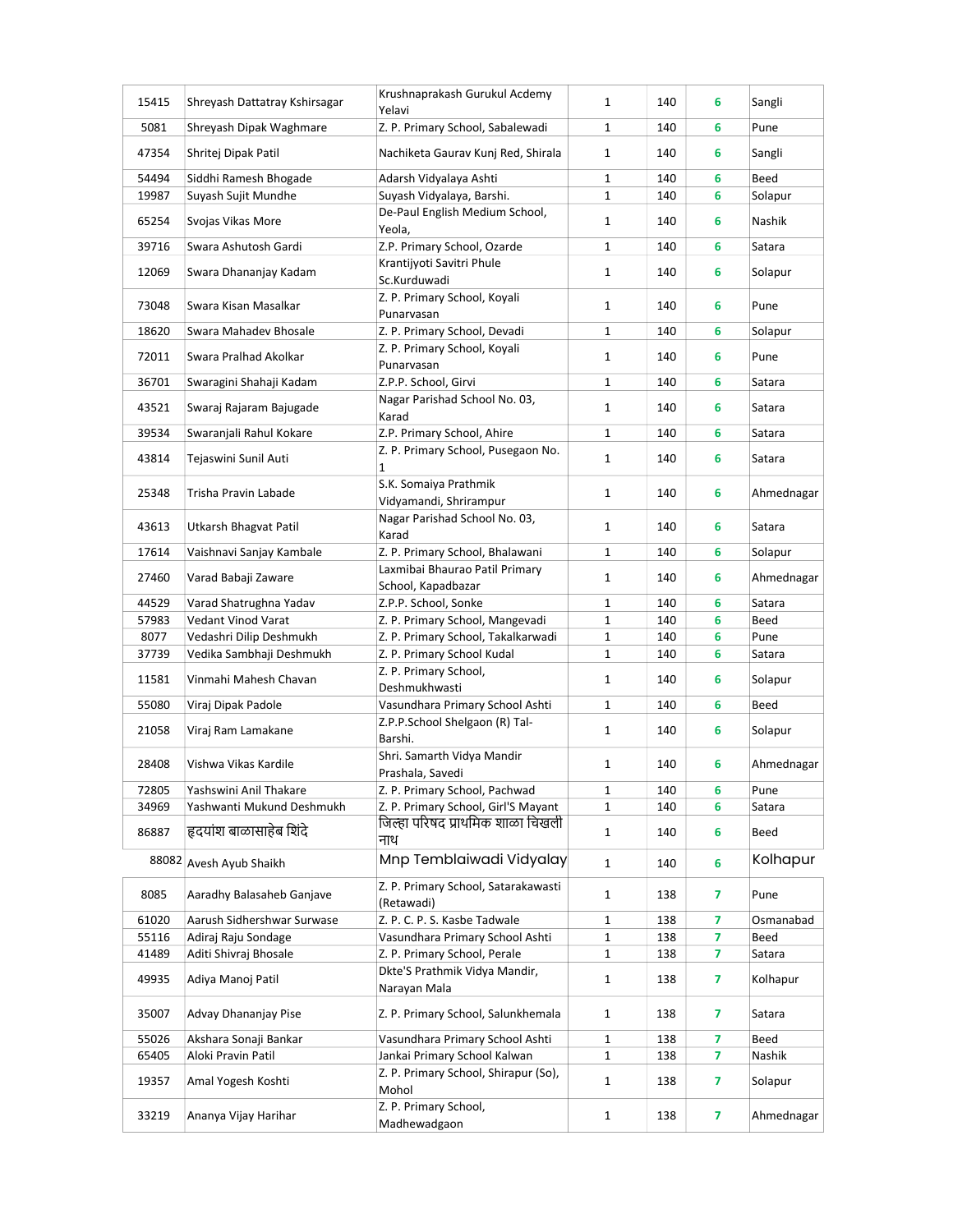| 15415 | Shreyash Dattatray Kshirsagar | Krushnaprakash Gurukul Acdemy<br>Yelavi              | $\mathbf{1}$ | 140 | 6 | Sangli        |
|-------|-------------------------------|------------------------------------------------------|--------------|-----|---|---------------|
| 5081  | Shreyash Dipak Waghmare       | Z. P. Primary School, Sabalewadi                     | 1            | 140 | 6 | Pune          |
| 47354 | Shritej Dipak Patil           | Nachiketa Gaurav Kunj Red, Shirala                   | $\mathbf{1}$ | 140 | 6 | Sangli        |
| 54494 | Siddhi Ramesh Bhogade         | Adarsh Vidyalaya Ashti                               | 1            | 140 | 6 | Beed          |
| 19987 | Suyash Sujit Mundhe           | Suyash Vidyalaya, Barshi.                            | $\mathbf{1}$ | 140 | 6 | Solapur       |
| 65254 | Svojas Vikas More             | De-Paul English Medium School,<br>Yeola,             | 1            | 140 | 6 | <b>Nashik</b> |
| 39716 | Swara Ashutosh Gardi          | Z.P. Primary School, Ozarde                          | $\mathbf{1}$ | 140 | 6 | Satara        |
| 12069 | Swara Dhananjay Kadam         | Krantijyoti Savitri Phule<br>Sc.Kurduwadi            | 1            | 140 | 6 | Solapur       |
| 73048 | Swara Kisan Masalkar          | Z. P. Primary School, Koyali<br>Punarvasan           | $\mathbf{1}$ | 140 | 6 | Pune          |
| 18620 | Swara Mahadev Bhosale         | Z. P. Primary School, Devadi                         | $\mathbf{1}$ | 140 | 6 | Solapur       |
| 72011 | Swara Pralhad Akolkar         | Z. P. Primary School, Koyali<br>Punarvasan           | $\mathbf{1}$ | 140 | 6 | Pune          |
| 36701 | Swaragini Shahaji Kadam       | Z.P.P. School, Girvi                                 | 1            | 140 | 6 | Satara        |
| 43521 | Swaraj Rajaram Bajugade       | Nagar Parishad School No. 03,<br>Karad               | $\mathbf{1}$ | 140 | 6 | Satara        |
| 39534 | Swaranjali Rahul Kokare       | Z.P. Primary School, Ahire                           | $\mathbf{1}$ | 140 | 6 | Satara        |
| 43814 | Tejaswini Sunil Auti          | Z. P. Primary School, Pusegaon No.<br>1              | 1            | 140 | 6 | Satara        |
| 25348 | Trisha Pravin Labade          | S.K. Somaiya Prathmik<br>Vidyamandi, Shrirampur      | $\mathbf{1}$ | 140 | 6 | Ahmednagar    |
| 43613 | Utkarsh Bhagvat Patil         | Nagar Parishad School No. 03,<br>Karad               | 1            | 140 | 6 | Satara        |
| 17614 | Vaishnavi Sanjay Kambale      | Z. P. Primary School, Bhalawani                      | 1            | 140 | 6 | Solapur       |
| 27460 | Varad Babaji Zaware           | Laxmibai Bhaurao Patil Primary<br>School, Kapadbazar | $\mathbf{1}$ | 140 | 6 | Ahmednagar    |
| 44529 | Varad Shatrughna Yadav        | Z.P.P. School, Sonke                                 | 1            | 140 | 6 | Satara        |
| 57983 | Vedant Vinod Varat            | Z. P. Primary School, Mangevadi                      | $\mathbf{1}$ | 140 | 6 | Beed          |
| 8077  | Vedashri Dilip Deshmukh       | Z. P. Primary School, Takalkarwadi                   | 1            | 140 | 6 | Pune          |
| 37739 | Vedika Sambhaji Deshmukh      | Z. P. Primary School Kudal                           | 1            | 140 | 6 | Satara        |
| 11581 | Vinmahi Mahesh Chavan         | Z. P. Primary School,<br>Deshmukhwasti               | $\mathbf{1}$ | 140 | 6 | Solapur       |
| 55080 | Viraj Dipak Padole            | Vasundhara Primary School Ashti                      | 1            | 140 | 6 | Beed          |
| 21058 | Viraj Ram Lamakane            | Z.P.P.School Shelgaon (R) Tal-<br>Barshi.            | $\mathbf{1}$ | 140 | 6 | Solapur       |
| 28408 | Vishwa Vikas Kardile          | Shri. Samarth Vidya Mandir<br>Prashala, Savedi       | 1            | 140 | 6 | Ahmednagar    |
| 72805 | Yashswini Anil Thakare        | Z. P. Primary School, Pachwad                        | 1            | 140 | 6 | Pune          |
| 34969 | Yashwanti Mukund Deshmukh     | Z. P. Primary School, Girl'S Mayant                  | $\mathbf 1$  | 140 | 6 | Satara        |
| 86887 | हृदयांश बाळासाहेब शिंदे       | जिल्हा परिषद प्राथमिक शाळा चिखली<br>नाथ              | $\mathbf{1}$ | 140 | 6 | Beed          |
| 88082 | Avesh Ayub Shaikh             | Mnp Temblaiwadi Vidyalay                             | $\mathbf{1}$ | 140 | 6 | Kolhapur      |
| 8085  | Aaradhy Balasaheb Ganjave     | Z. P. Primary School, Satarakawasti<br>(Retawadi)    | 1            | 138 | 7 | Pune          |
| 61020 | Aarush Sidhershwar Surwase    | Z. P. C. P. S. Kasbe Tadwale                         | 1            | 138 | 7 | Osmanabad     |
| 55116 | Adiraj Raju Sondage           | Vasundhara Primary School Ashti                      | $\mathbf{1}$ | 138 | 7 | Beed          |
| 41489 | Aditi Shivraj Bhosale         | Z. P. Primary School, Perale                         | 1            | 138 | 7 | Satara        |
| 49935 | Adiya Manoj Patil             | Dkte'S Prathmik Vidya Mandir,<br>Narayan Mala        | $\mathbf{1}$ | 138 | 7 | Kolhapur      |
| 35007 | Advay Dhananjay Pise          | Z. P. Primary School, Salunkhemala                   | 1            | 138 | 7 | Satara        |
| 55026 | Akshara Sonaji Bankar         | Vasundhara Primary School Ashti                      | 1            | 138 | 7 | Beed          |
| 65405 | Aloki Pravin Patil            | Jankai Primary School Kalwan                         | 1            | 138 | 7 | Nashik        |
| 19357 | Amal Yogesh Koshti            | Z. P. Primary School, Shirapur (So),<br>Mohol        | 1            | 138 | 7 | Solapur       |
| 33219 | Ananya Vijay Harihar          | Z. P. Primary School,<br>Madhewadgaon                | $\mathbf{1}$ | 138 | 7 | Ahmednagar    |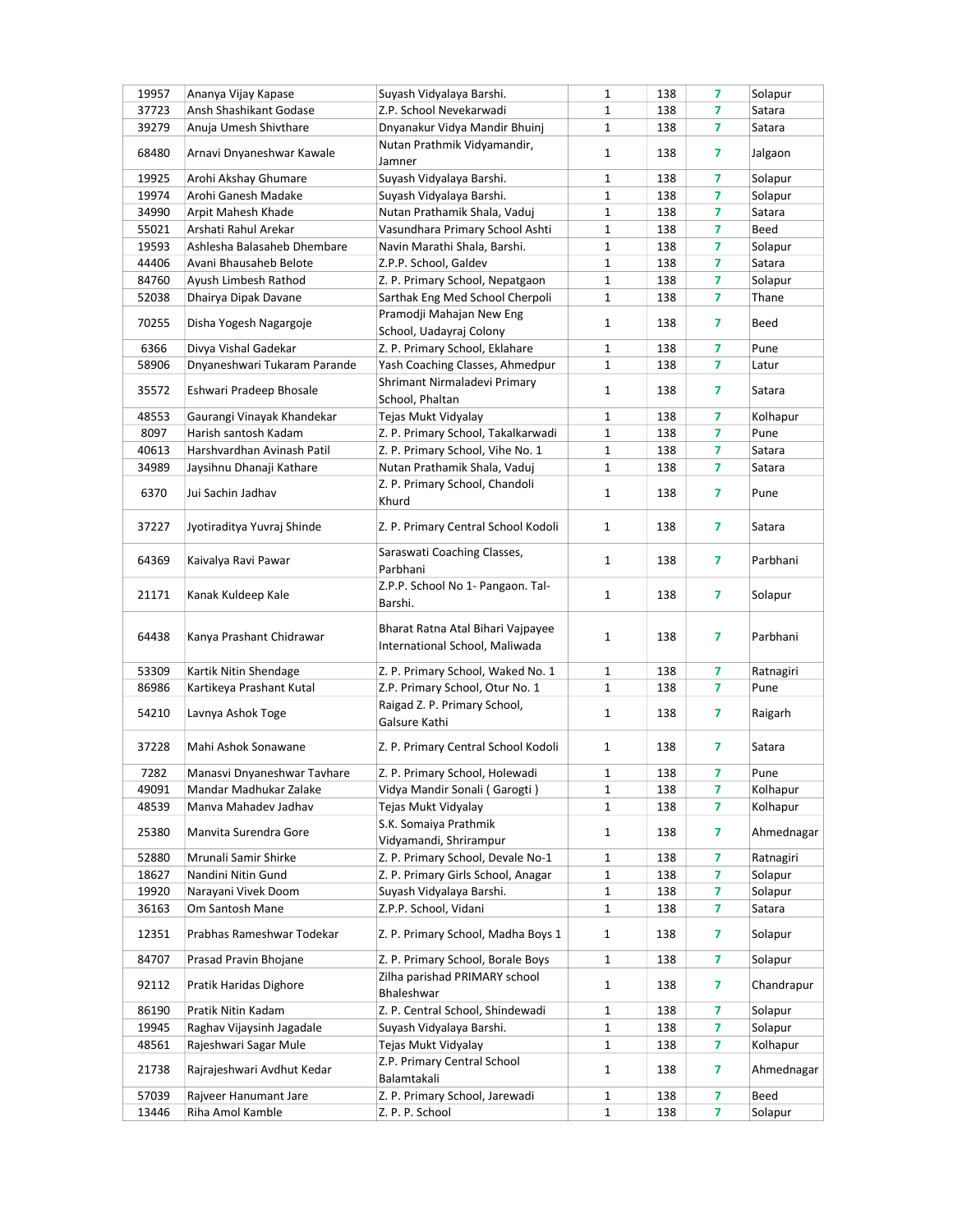| 19957 | Ananya Vijay Kapase          | Suyash Vidyalaya Barshi.                                                | 1            | 138 | 7 | Solapur    |
|-------|------------------------------|-------------------------------------------------------------------------|--------------|-----|---|------------|
| 37723 | Ansh Shashikant Godase       | Z.P. School Nevekarwadi                                                 | 1            | 138 | 7 | Satara     |
| 39279 | Anuja Umesh Shivthare        | Dnyanakur Vidya Mandir Bhuinj                                           | $\mathbf{1}$ | 138 | 7 | Satara     |
| 68480 | Arnavi Dnyaneshwar Kawale    | Nutan Prathmik Vidyamandir,<br>Jamner                                   | $\mathbf{1}$ | 138 | 7 | Jalgaon    |
| 19925 | Arohi Akshay Ghumare         | Suyash Vidyalaya Barshi.                                                | 1            | 138 | 7 | Solapur    |
| 19974 | Arohi Ganesh Madake          | Suyash Vidyalaya Barshi.                                                | 1            | 138 | 7 | Solapur    |
| 34990 | Arpit Mahesh Khade           | Nutan Prathamik Shala, Vaduj                                            | $\mathbf{1}$ | 138 | 7 | Satara     |
| 55021 | Arshati Rahul Arekar         | Vasundhara Primary School Ashti                                         | $\mathbf 1$  | 138 | 7 | Beed       |
| 19593 | Ashlesha Balasaheb Dhembare  | Navin Marathi Shala, Barshi.                                            | 1            | 138 | 7 | Solapur    |
| 44406 | Avani Bhausaheb Belote       | Z.P.P. School, Galdev                                                   | 1            | 138 | 7 | Satara     |
| 84760 | Ayush Limbesh Rathod         | Z. P. Primary School, Nepatgaon                                         | 1            | 138 | 7 | Solapur    |
| 52038 |                              | Sarthak Eng Med School Cherpoli                                         | 1            | 138 | 7 | Thane      |
|       | Dhairya Dipak Davane         |                                                                         |              |     |   |            |
| 70255 | Disha Yogesh Nagargoje       | Pramodji Mahajan New Eng<br>School, Uadayraj Colony                     | $\mathbf{1}$ | 138 | 7 | Beed       |
| 6366  | Divya Vishal Gadekar         | Z. P. Primary School, Eklahare                                          | 1            | 138 | 7 | Pune       |
| 58906 | Dnyaneshwari Tukaram Parande | Yash Coaching Classes, Ahmedpur                                         | 1            | 138 | 7 | Latur      |
| 35572 | Eshwari Pradeep Bhosale      | Shrimant Nirmaladevi Primary                                            | $\mathbf{1}$ | 138 | 7 | Satara     |
|       |                              | School, Phaltan                                                         |              |     |   |            |
| 48553 | Gaurangi Vinayak Khandekar   | Tejas Mukt Vidyalay                                                     | 1            | 138 | 7 | Kolhapur   |
| 8097  | Harish santosh Kadam         | Z. P. Primary School, Takalkarwadi                                      | $\mathbf{1}$ | 138 | 7 | Pune       |
| 40613 | Harshvardhan Avinash Patil   | Z. P. Primary School, Vihe No. 1                                        | 1            | 138 | 7 | Satara     |
| 34989 | Jaysihnu Dhanaji Kathare     | Nutan Prathamik Shala, Vaduj                                            | 1            | 138 | 7 | Satara     |
| 6370  | Jui Sachin Jadhav            | Z. P. Primary School, Chandoli<br>Khurd                                 | $\mathbf{1}$ | 138 | 7 | Pune       |
| 37227 | Jyotiraditya Yuvraj Shinde   | Z. P. Primary Central School Kodoli                                     | $\mathbf{1}$ | 138 | 7 | Satara     |
| 64369 | Kaivalya Ravi Pawar          | Saraswati Coaching Classes,<br>Parbhani                                 | 1            | 138 | 7 | Parbhani   |
| 21171 | Kanak Kuldeep Kale           | Z.P.P. School No 1- Pangaon. Tal-<br>Barshi.                            | $\mathbf{1}$ | 138 | 7 | Solapur    |
| 64438 | Kanya Prashant Chidrawar     | Bharat Ratna Atal Bihari Vajpayee<br>International School, Maliwada     | $\mathbf{1}$ | 138 | 7 | Parbhani   |
| 53309 | Kartik Nitin Shendage        | Z. P. Primary School, Waked No. 1                                       | 1            | 138 | 7 | Ratnagiri  |
| 86986 | Kartikeya Prashant Kutal     | Z.P. Primary School, Otur No. 1                                         | 1            | 138 | 7 | Pune       |
| 54210 | Lavnya Ashok Toge            | Raigad Z. P. Primary School,<br>Galsure Kathi                           | $\mathbf{1}$ | 138 | 7 | Raigarh    |
| 37228 | Mahi Ashok Sonawane          | Z. P. Primary Central School Kodoli                                     | $\mathbf{1}$ | 138 | 7 | Satara     |
| 7282  | Manasvi Dnyaneshwar Tavhare  | Z. P. Primary School, Holewadi                                          | 1            | 138 | 7 | Pune       |
| 49091 | Mandar Madhukar Zalake       | Vidya Mandir Sonali (Garogti)                                           | 1            | 138 | 7 | Kolhapur   |
| 48539 | Manva Mahadev Jadhav         | Tejas Mukt Vidyalay                                                     | $\mathbf{1}$ | 138 | 7 | Kolhapur   |
| 25380 | Manvita Surendra Gore        | S.K. Somaiya Prathmik                                                   | 1            | 138 | 7 | Ahmednagar |
|       |                              | Vidyamandi, Shrirampur                                                  |              |     |   |            |
| 52880 | Mrunali Samir Shirke         | Z. P. Primary School, Devale No-1<br>Z. P. Primary Girls School, Anagar | $\mathbf{1}$ | 138 | 7 | Ratnagiri  |
| 18627 | Nandini Nitin Gund           |                                                                         | $\mathbf{1}$ | 138 | 7 | Solapur    |
| 19920 | Narayani Vivek Doom          | Suyash Vidyalaya Barshi.                                                | 1            | 138 | 7 | Solapur    |
| 36163 | Om Santosh Mane              | Z.P.P. School, Vidani                                                   | 1            | 138 | 7 | Satara     |
| 12351 | Prabhas Rameshwar Todekar    | Z. P. Primary School, Madha Boys 1                                      | 1            | 138 | 7 | Solapur    |
| 84707 | Prasad Pravin Bhojane        | Z. P. Primary School, Borale Boys                                       | $\mathbf{1}$ | 138 | 7 | Solapur    |
| 92112 | Pratik Haridas Dighore       | Zilha parishad PRIMARY school<br>Bhaleshwar                             | 1            | 138 | 7 | Chandrapur |
| 86190 | Pratik Nitin Kadam           | Z. P. Central School, Shindewadi                                        | 1            | 138 | 7 | Solapur    |
| 19945 | Raghav Vijaysinh Jagadale    | Suyash Vidyalaya Barshi.                                                | 1            | 138 | 7 | Solapur    |
| 48561 | Rajeshwari Sagar Mule        | Tejas Mukt Vidyalay                                                     | $\mathbf{1}$ | 138 | 7 | Kolhapur   |
| 21738 | Rajrajeshwari Avdhut Kedar   | Z.P. Primary Central School<br>Balamtakali                              | 1            | 138 | 7 | Ahmednagar |
| 57039 | Rajveer Hanumant Jare        | Z. P. Primary School, Jarewadi                                          | 1            | 138 | 7 | Beed       |
| 13446 | Riha Amol Kamble             | Z. P. P. School                                                         | $\mathbf{1}$ | 138 | 7 | Solapur    |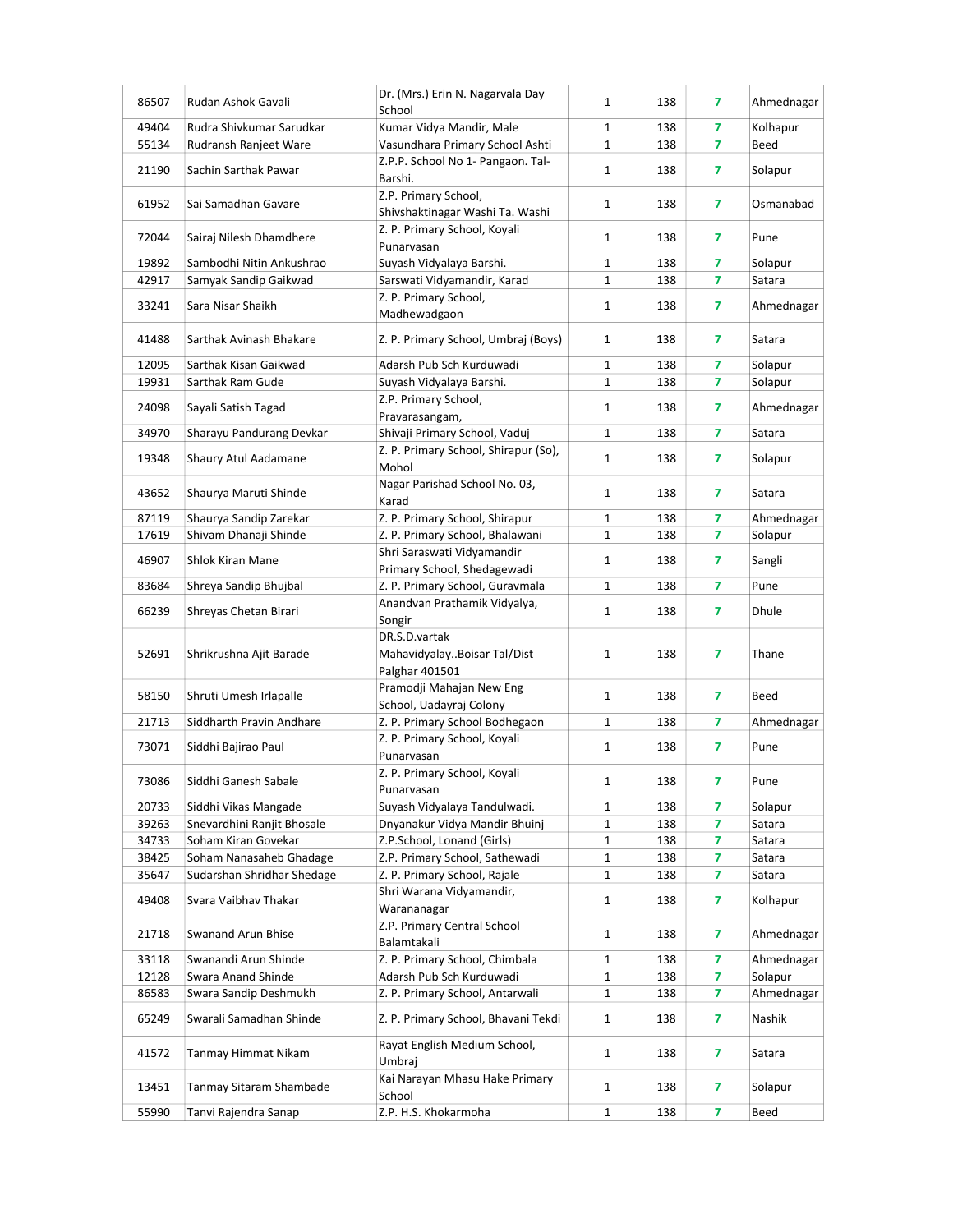| Kumar Vidya Mandir, Male<br>7<br>Kolhapur<br>49404<br>Rudra Shivkumar Sarudkar<br>1<br>138<br>7<br>55134<br>Vasundhara Primary School Ashti<br>$\mathbf{1}$<br>Rudransh Ranjeet Ware<br>138<br>Beed<br>Z.P.P. School No 1- Pangaon. Tal-<br>Sachin Sarthak Pawar<br>21190<br>$\mathbf{1}$<br>138<br>7<br>Solapur<br>Barshi.<br>Z.P. Primary School,<br>Sai Samadhan Gavare<br>$\overline{7}$<br>61952<br>1<br>138<br>Osmanabad<br>Shivshaktinagar Washi Ta. Washi<br>Z. P. Primary School, Koyali<br>72044<br>Sairaj Nilesh Dhamdhere<br>1<br>138<br>7<br>Pune<br>Punarvasan<br>19892<br>Suyash Vidyalaya Barshi.<br>7<br>Sambodhi Nitin Ankushrao<br>1<br>138<br>Solapur<br>42917<br>Sarswati Vidyamandir, Karad<br>7<br>Samyak Sandip Gaikwad<br>1<br>138<br>Satara<br>Z. P. Primary School,<br>7<br>33241<br>Sara Nisar Shaikh<br>$\mathbf{1}$<br>138<br>Ahmednagar<br>Madhewadgaon<br>41488<br>Sarthak Avinash Bhakare<br>Z. P. Primary School, Umbraj (Boys)<br>$\mathbf{1}$<br>7<br>138<br>Satara<br>7<br>12095<br>Sarthak Kisan Gaikwad<br>Adarsh Pub Sch Kurduwadi<br>1<br>138<br>Solapur<br>19931<br>7<br>Sarthak Ram Gude<br>Suyash Vidyalaya Barshi.<br>$\mathbf{1}$<br>138<br>Solapur<br>Z.P. Primary School,<br>24098<br>Sayali Satish Tagad<br>$\mathbf{1}$<br>138<br>7<br>Ahmednagar<br>Pravarasangam,<br>Shivaji Primary School, Vaduj<br>$\mathbf{1}$<br>7<br>34970<br>Sharayu Pandurang Devkar<br>138<br>Satara<br>Z. P. Primary School, Shirapur (So),<br>19348<br>Shaury Atul Aadamane<br>1<br>138<br>7<br>Solapur<br>Mohol<br>Nagar Parishad School No. 03,<br>$\mathbf{1}$<br>138<br>7<br>43652<br>Shaurya Maruti Shinde<br>Satara<br>Karad<br>87119<br>Z. P. Primary School, Shirapur<br>7<br>Shaurya Sandip Zarekar<br>1<br>138<br>Ahmednagar<br>$\mathbf{1}$<br>7<br>17619<br>Shivam Dhanaji Shinde<br>Z. P. Primary School, Bhalawani<br>138<br>Solapur<br>Shri Saraswati Vidyamandir<br>46907<br>Shlok Kiran Mane<br>$\mathbf{1}$<br>7<br>138<br>Sangli<br>Primary School, Shedagewadi<br>Z. P. Primary School, Guravmala<br>83684<br>Shreya Sandip Bhujbal<br>$\mathbf{1}$<br>138<br>7<br>Pune<br>Anandvan Prathamik Vidyalya,<br>7<br>66239<br>Shreyas Chetan Birari<br>1<br>138<br>Dhule<br>Songir<br>DR.S.D.vartak<br>7<br>52691<br>Shrikrushna Ajit Barade<br>$\mathbf{1}$<br>138<br>Thane<br>MahavidyalayBoisar Tal/Dist<br>Palghar 401501<br>Pramodji Mahajan New Eng<br>58150<br>Shruti Umesh Irlapalle<br>1<br>138<br>7<br>Beed<br>School, Uadayraj Colony<br>21713<br>Siddharth Pravin Andhare<br>Z. P. Primary School Bodhegaon<br>1<br>138<br>7<br>Ahmednagar<br>Z. P. Primary School, Koyali<br>73071<br>Siddhi Bajirao Paul<br>1<br>138<br>7<br>Pune<br>Punarvasan<br>Z. P. Primary School, Koyali<br>73086<br>138<br>Siddhi Ganesh Sabale<br>1<br>Pune<br>7<br>Punarvasan<br>Suyash Vidyalaya Tandulwadi.<br>20733<br>Siddhi Vikas Mangade<br>7<br>1<br>138<br>Solapur<br>39263<br>Snevardhini Ranjit Bhosale<br>Dnyanakur Vidya Mandir Bhuinj<br>1<br>138<br>7<br>Satara<br>Soham Kiran Govekar<br>Z.P.School, Lonand (Girls)<br>34733<br>138<br>7<br>Satara<br>1<br>38425<br>Soham Nanasaheb Ghadage<br>Z.P. Primary School, Sathewadi<br>1<br>138<br>7<br>Satara<br>7<br>35647<br>Sudarshan Shridhar Shedage<br>Z. P. Primary School, Rajale<br>$\mathbf{1}$<br>138<br>Satara<br>Shri Warana Vidyamandir,<br>49408<br>Svara Vaibhav Thakar<br>$\mathbf{1}$<br>7<br>Kolhapur<br>138<br>Warananagar<br>Z.P. Primary Central School<br>21718<br><b>Swanand Arun Bhise</b><br>1<br>7<br>Ahmednagar<br>138<br>Balamtakali<br>7<br>33118<br>Swanandi Arun Shinde<br>Z. P. Primary School, Chimbala<br>1<br>138<br>Ahmednagar<br>7<br>Adarsh Pub Sch Kurduwadi<br>1<br>12128<br>Swara Anand Shinde<br>138<br>Solapur<br>86583<br>Swara Sandip Deshmukh<br>Z. P. Primary School, Antarwali<br>$\mathbf{1}$<br>7<br>Ahmednagar<br>138<br>65249<br>Swarali Samadhan Shinde<br>Z. P. Primary School, Bhavani Tekdi<br>7<br>Nashik<br>1<br>138<br>Rayat English Medium School,<br>41572<br>Tanmay Himmat Nikam<br>$\mathbf{1}$<br>138<br>7<br>Satara<br>Umbraj<br>Kai Narayan Mhasu Hake Primary<br>13451<br>Tanmay Sitaram Shambade<br>1<br>138<br>7<br>Solapur<br>School<br>Z.P. H.S. Khokarmoha<br>7<br>55990<br>$\mathbf{1}$<br>138<br>Beed | 86507 | Rudan Ashok Gavali   | Dr. (Mrs.) Erin N. Nagarvala Day<br>School | $\mathbf{1}$ | 138 | 7 | Ahmednagar |
|----------------------------------------------------------------------------------------------------------------------------------------------------------------------------------------------------------------------------------------------------------------------------------------------------------------------------------------------------------------------------------------------------------------------------------------------------------------------------------------------------------------------------------------------------------------------------------------------------------------------------------------------------------------------------------------------------------------------------------------------------------------------------------------------------------------------------------------------------------------------------------------------------------------------------------------------------------------------------------------------------------------------------------------------------------------------------------------------------------------------------------------------------------------------------------------------------------------------------------------------------------------------------------------------------------------------------------------------------------------------------------------------------------------------------------------------------------------------------------------------------------------------------------------------------------------------------------------------------------------------------------------------------------------------------------------------------------------------------------------------------------------------------------------------------------------------------------------------------------------------------------------------------------------------------------------------------------------------------------------------------------------------------------------------------------------------------------------------------------------------------------------------------------------------------------------------------------------------------------------------------------------------------------------------------------------------------------------------------------------------------------------------------------------------------------------------------------------------------------------------------------------------------------------------------------------------------------------------------------------------------------------------------------------------------------------------------------------------------------------------------------------------------------------------------------------------------------------------------------------------------------------------------------------------------------------------------------------------------------------------------------------------------------------------------------------------------------------------------------------------------------------------------------------------------------------------------------------------------------------------------------------------------------------------------------------------------------------------------------------------------------------------------------------------------------------------------------------------------------------------------------------------------------------------------------------------------------------------------------------------------------------------------------------------------------------------------------------------------------------------------------------------------------------------------------------------------------------------------------------------------------------------------------------------------------------------------------------------------------------------------------------------------------------------------------------------------------------------------------------------------------------------------------------------------------------------------------------------------------------------------------------------------------|-------|----------------------|--------------------------------------------|--------------|-----|---|------------|
|                                                                                                                                                                                                                                                                                                                                                                                                                                                                                                                                                                                                                                                                                                                                                                                                                                                                                                                                                                                                                                                                                                                                                                                                                                                                                                                                                                                                                                                                                                                                                                                                                                                                                                                                                                                                                                                                                                                                                                                                                                                                                                                                                                                                                                                                                                                                                                                                                                                                                                                                                                                                                                                                                                                                                                                                                                                                                                                                                                                                                                                                                                                                                                                                                                                                                                                                                                                                                                                                                                                                                                                                                                                                                                                                                                                                                                                                                                                                                                                                                                                                                                                                                                                                                                                                                  |       |                      |                                            |              |     |   |            |
|                                                                                                                                                                                                                                                                                                                                                                                                                                                                                                                                                                                                                                                                                                                                                                                                                                                                                                                                                                                                                                                                                                                                                                                                                                                                                                                                                                                                                                                                                                                                                                                                                                                                                                                                                                                                                                                                                                                                                                                                                                                                                                                                                                                                                                                                                                                                                                                                                                                                                                                                                                                                                                                                                                                                                                                                                                                                                                                                                                                                                                                                                                                                                                                                                                                                                                                                                                                                                                                                                                                                                                                                                                                                                                                                                                                                                                                                                                                                                                                                                                                                                                                                                                                                                                                                                  |       |                      |                                            |              |     |   |            |
|                                                                                                                                                                                                                                                                                                                                                                                                                                                                                                                                                                                                                                                                                                                                                                                                                                                                                                                                                                                                                                                                                                                                                                                                                                                                                                                                                                                                                                                                                                                                                                                                                                                                                                                                                                                                                                                                                                                                                                                                                                                                                                                                                                                                                                                                                                                                                                                                                                                                                                                                                                                                                                                                                                                                                                                                                                                                                                                                                                                                                                                                                                                                                                                                                                                                                                                                                                                                                                                                                                                                                                                                                                                                                                                                                                                                                                                                                                                                                                                                                                                                                                                                                                                                                                                                                  |       |                      |                                            |              |     |   |            |
|                                                                                                                                                                                                                                                                                                                                                                                                                                                                                                                                                                                                                                                                                                                                                                                                                                                                                                                                                                                                                                                                                                                                                                                                                                                                                                                                                                                                                                                                                                                                                                                                                                                                                                                                                                                                                                                                                                                                                                                                                                                                                                                                                                                                                                                                                                                                                                                                                                                                                                                                                                                                                                                                                                                                                                                                                                                                                                                                                                                                                                                                                                                                                                                                                                                                                                                                                                                                                                                                                                                                                                                                                                                                                                                                                                                                                                                                                                                                                                                                                                                                                                                                                                                                                                                                                  |       |                      |                                            |              |     |   |            |
|                                                                                                                                                                                                                                                                                                                                                                                                                                                                                                                                                                                                                                                                                                                                                                                                                                                                                                                                                                                                                                                                                                                                                                                                                                                                                                                                                                                                                                                                                                                                                                                                                                                                                                                                                                                                                                                                                                                                                                                                                                                                                                                                                                                                                                                                                                                                                                                                                                                                                                                                                                                                                                                                                                                                                                                                                                                                                                                                                                                                                                                                                                                                                                                                                                                                                                                                                                                                                                                                                                                                                                                                                                                                                                                                                                                                                                                                                                                                                                                                                                                                                                                                                                                                                                                                                  |       |                      |                                            |              |     |   |            |
|                                                                                                                                                                                                                                                                                                                                                                                                                                                                                                                                                                                                                                                                                                                                                                                                                                                                                                                                                                                                                                                                                                                                                                                                                                                                                                                                                                                                                                                                                                                                                                                                                                                                                                                                                                                                                                                                                                                                                                                                                                                                                                                                                                                                                                                                                                                                                                                                                                                                                                                                                                                                                                                                                                                                                                                                                                                                                                                                                                                                                                                                                                                                                                                                                                                                                                                                                                                                                                                                                                                                                                                                                                                                                                                                                                                                                                                                                                                                                                                                                                                                                                                                                                                                                                                                                  |       |                      |                                            |              |     |   |            |
|                                                                                                                                                                                                                                                                                                                                                                                                                                                                                                                                                                                                                                                                                                                                                                                                                                                                                                                                                                                                                                                                                                                                                                                                                                                                                                                                                                                                                                                                                                                                                                                                                                                                                                                                                                                                                                                                                                                                                                                                                                                                                                                                                                                                                                                                                                                                                                                                                                                                                                                                                                                                                                                                                                                                                                                                                                                                                                                                                                                                                                                                                                                                                                                                                                                                                                                                                                                                                                                                                                                                                                                                                                                                                                                                                                                                                                                                                                                                                                                                                                                                                                                                                                                                                                                                                  |       |                      |                                            |              |     |   |            |
|                                                                                                                                                                                                                                                                                                                                                                                                                                                                                                                                                                                                                                                                                                                                                                                                                                                                                                                                                                                                                                                                                                                                                                                                                                                                                                                                                                                                                                                                                                                                                                                                                                                                                                                                                                                                                                                                                                                                                                                                                                                                                                                                                                                                                                                                                                                                                                                                                                                                                                                                                                                                                                                                                                                                                                                                                                                                                                                                                                                                                                                                                                                                                                                                                                                                                                                                                                                                                                                                                                                                                                                                                                                                                                                                                                                                                                                                                                                                                                                                                                                                                                                                                                                                                                                                                  |       |                      |                                            |              |     |   |            |
|                                                                                                                                                                                                                                                                                                                                                                                                                                                                                                                                                                                                                                                                                                                                                                                                                                                                                                                                                                                                                                                                                                                                                                                                                                                                                                                                                                                                                                                                                                                                                                                                                                                                                                                                                                                                                                                                                                                                                                                                                                                                                                                                                                                                                                                                                                                                                                                                                                                                                                                                                                                                                                                                                                                                                                                                                                                                                                                                                                                                                                                                                                                                                                                                                                                                                                                                                                                                                                                                                                                                                                                                                                                                                                                                                                                                                                                                                                                                                                                                                                                                                                                                                                                                                                                                                  |       |                      |                                            |              |     |   |            |
|                                                                                                                                                                                                                                                                                                                                                                                                                                                                                                                                                                                                                                                                                                                                                                                                                                                                                                                                                                                                                                                                                                                                                                                                                                                                                                                                                                                                                                                                                                                                                                                                                                                                                                                                                                                                                                                                                                                                                                                                                                                                                                                                                                                                                                                                                                                                                                                                                                                                                                                                                                                                                                                                                                                                                                                                                                                                                                                                                                                                                                                                                                                                                                                                                                                                                                                                                                                                                                                                                                                                                                                                                                                                                                                                                                                                                                                                                                                                                                                                                                                                                                                                                                                                                                                                                  |       |                      |                                            |              |     |   |            |
|                                                                                                                                                                                                                                                                                                                                                                                                                                                                                                                                                                                                                                                                                                                                                                                                                                                                                                                                                                                                                                                                                                                                                                                                                                                                                                                                                                                                                                                                                                                                                                                                                                                                                                                                                                                                                                                                                                                                                                                                                                                                                                                                                                                                                                                                                                                                                                                                                                                                                                                                                                                                                                                                                                                                                                                                                                                                                                                                                                                                                                                                                                                                                                                                                                                                                                                                                                                                                                                                                                                                                                                                                                                                                                                                                                                                                                                                                                                                                                                                                                                                                                                                                                                                                                                                                  |       |                      |                                            |              |     |   |            |
|                                                                                                                                                                                                                                                                                                                                                                                                                                                                                                                                                                                                                                                                                                                                                                                                                                                                                                                                                                                                                                                                                                                                                                                                                                                                                                                                                                                                                                                                                                                                                                                                                                                                                                                                                                                                                                                                                                                                                                                                                                                                                                                                                                                                                                                                                                                                                                                                                                                                                                                                                                                                                                                                                                                                                                                                                                                                                                                                                                                                                                                                                                                                                                                                                                                                                                                                                                                                                                                                                                                                                                                                                                                                                                                                                                                                                                                                                                                                                                                                                                                                                                                                                                                                                                                                                  |       |                      |                                            |              |     |   |            |
|                                                                                                                                                                                                                                                                                                                                                                                                                                                                                                                                                                                                                                                                                                                                                                                                                                                                                                                                                                                                                                                                                                                                                                                                                                                                                                                                                                                                                                                                                                                                                                                                                                                                                                                                                                                                                                                                                                                                                                                                                                                                                                                                                                                                                                                                                                                                                                                                                                                                                                                                                                                                                                                                                                                                                                                                                                                                                                                                                                                                                                                                                                                                                                                                                                                                                                                                                                                                                                                                                                                                                                                                                                                                                                                                                                                                                                                                                                                                                                                                                                                                                                                                                                                                                                                                                  |       |                      |                                            |              |     |   |            |
|                                                                                                                                                                                                                                                                                                                                                                                                                                                                                                                                                                                                                                                                                                                                                                                                                                                                                                                                                                                                                                                                                                                                                                                                                                                                                                                                                                                                                                                                                                                                                                                                                                                                                                                                                                                                                                                                                                                                                                                                                                                                                                                                                                                                                                                                                                                                                                                                                                                                                                                                                                                                                                                                                                                                                                                                                                                                                                                                                                                                                                                                                                                                                                                                                                                                                                                                                                                                                                                                                                                                                                                                                                                                                                                                                                                                                                                                                                                                                                                                                                                                                                                                                                                                                                                                                  |       |                      |                                            |              |     |   |            |
|                                                                                                                                                                                                                                                                                                                                                                                                                                                                                                                                                                                                                                                                                                                                                                                                                                                                                                                                                                                                                                                                                                                                                                                                                                                                                                                                                                                                                                                                                                                                                                                                                                                                                                                                                                                                                                                                                                                                                                                                                                                                                                                                                                                                                                                                                                                                                                                                                                                                                                                                                                                                                                                                                                                                                                                                                                                                                                                                                                                                                                                                                                                                                                                                                                                                                                                                                                                                                                                                                                                                                                                                                                                                                                                                                                                                                                                                                                                                                                                                                                                                                                                                                                                                                                                                                  |       |                      |                                            |              |     |   |            |
|                                                                                                                                                                                                                                                                                                                                                                                                                                                                                                                                                                                                                                                                                                                                                                                                                                                                                                                                                                                                                                                                                                                                                                                                                                                                                                                                                                                                                                                                                                                                                                                                                                                                                                                                                                                                                                                                                                                                                                                                                                                                                                                                                                                                                                                                                                                                                                                                                                                                                                                                                                                                                                                                                                                                                                                                                                                                                                                                                                                                                                                                                                                                                                                                                                                                                                                                                                                                                                                                                                                                                                                                                                                                                                                                                                                                                                                                                                                                                                                                                                                                                                                                                                                                                                                                                  |       |                      |                                            |              |     |   |            |
|                                                                                                                                                                                                                                                                                                                                                                                                                                                                                                                                                                                                                                                                                                                                                                                                                                                                                                                                                                                                                                                                                                                                                                                                                                                                                                                                                                                                                                                                                                                                                                                                                                                                                                                                                                                                                                                                                                                                                                                                                                                                                                                                                                                                                                                                                                                                                                                                                                                                                                                                                                                                                                                                                                                                                                                                                                                                                                                                                                                                                                                                                                                                                                                                                                                                                                                                                                                                                                                                                                                                                                                                                                                                                                                                                                                                                                                                                                                                                                                                                                                                                                                                                                                                                                                                                  |       |                      |                                            |              |     |   |            |
|                                                                                                                                                                                                                                                                                                                                                                                                                                                                                                                                                                                                                                                                                                                                                                                                                                                                                                                                                                                                                                                                                                                                                                                                                                                                                                                                                                                                                                                                                                                                                                                                                                                                                                                                                                                                                                                                                                                                                                                                                                                                                                                                                                                                                                                                                                                                                                                                                                                                                                                                                                                                                                                                                                                                                                                                                                                                                                                                                                                                                                                                                                                                                                                                                                                                                                                                                                                                                                                                                                                                                                                                                                                                                                                                                                                                                                                                                                                                                                                                                                                                                                                                                                                                                                                                                  |       |                      |                                            |              |     |   |            |
|                                                                                                                                                                                                                                                                                                                                                                                                                                                                                                                                                                                                                                                                                                                                                                                                                                                                                                                                                                                                                                                                                                                                                                                                                                                                                                                                                                                                                                                                                                                                                                                                                                                                                                                                                                                                                                                                                                                                                                                                                                                                                                                                                                                                                                                                                                                                                                                                                                                                                                                                                                                                                                                                                                                                                                                                                                                                                                                                                                                                                                                                                                                                                                                                                                                                                                                                                                                                                                                                                                                                                                                                                                                                                                                                                                                                                                                                                                                                                                                                                                                                                                                                                                                                                                                                                  |       |                      |                                            |              |     |   |            |
|                                                                                                                                                                                                                                                                                                                                                                                                                                                                                                                                                                                                                                                                                                                                                                                                                                                                                                                                                                                                                                                                                                                                                                                                                                                                                                                                                                                                                                                                                                                                                                                                                                                                                                                                                                                                                                                                                                                                                                                                                                                                                                                                                                                                                                                                                                                                                                                                                                                                                                                                                                                                                                                                                                                                                                                                                                                                                                                                                                                                                                                                                                                                                                                                                                                                                                                                                                                                                                                                                                                                                                                                                                                                                                                                                                                                                                                                                                                                                                                                                                                                                                                                                                                                                                                                                  |       |                      |                                            |              |     |   |            |
|                                                                                                                                                                                                                                                                                                                                                                                                                                                                                                                                                                                                                                                                                                                                                                                                                                                                                                                                                                                                                                                                                                                                                                                                                                                                                                                                                                                                                                                                                                                                                                                                                                                                                                                                                                                                                                                                                                                                                                                                                                                                                                                                                                                                                                                                                                                                                                                                                                                                                                                                                                                                                                                                                                                                                                                                                                                                                                                                                                                                                                                                                                                                                                                                                                                                                                                                                                                                                                                                                                                                                                                                                                                                                                                                                                                                                                                                                                                                                                                                                                                                                                                                                                                                                                                                                  |       |                      |                                            |              |     |   |            |
|                                                                                                                                                                                                                                                                                                                                                                                                                                                                                                                                                                                                                                                                                                                                                                                                                                                                                                                                                                                                                                                                                                                                                                                                                                                                                                                                                                                                                                                                                                                                                                                                                                                                                                                                                                                                                                                                                                                                                                                                                                                                                                                                                                                                                                                                                                                                                                                                                                                                                                                                                                                                                                                                                                                                                                                                                                                                                                                                                                                                                                                                                                                                                                                                                                                                                                                                                                                                                                                                                                                                                                                                                                                                                                                                                                                                                                                                                                                                                                                                                                                                                                                                                                                                                                                                                  |       |                      |                                            |              |     |   |            |
|                                                                                                                                                                                                                                                                                                                                                                                                                                                                                                                                                                                                                                                                                                                                                                                                                                                                                                                                                                                                                                                                                                                                                                                                                                                                                                                                                                                                                                                                                                                                                                                                                                                                                                                                                                                                                                                                                                                                                                                                                                                                                                                                                                                                                                                                                                                                                                                                                                                                                                                                                                                                                                                                                                                                                                                                                                                                                                                                                                                                                                                                                                                                                                                                                                                                                                                                                                                                                                                                                                                                                                                                                                                                                                                                                                                                                                                                                                                                                                                                                                                                                                                                                                                                                                                                                  |       |                      |                                            |              |     |   |            |
|                                                                                                                                                                                                                                                                                                                                                                                                                                                                                                                                                                                                                                                                                                                                                                                                                                                                                                                                                                                                                                                                                                                                                                                                                                                                                                                                                                                                                                                                                                                                                                                                                                                                                                                                                                                                                                                                                                                                                                                                                                                                                                                                                                                                                                                                                                                                                                                                                                                                                                                                                                                                                                                                                                                                                                                                                                                                                                                                                                                                                                                                                                                                                                                                                                                                                                                                                                                                                                                                                                                                                                                                                                                                                                                                                                                                                                                                                                                                                                                                                                                                                                                                                                                                                                                                                  |       |                      |                                            |              |     |   |            |
|                                                                                                                                                                                                                                                                                                                                                                                                                                                                                                                                                                                                                                                                                                                                                                                                                                                                                                                                                                                                                                                                                                                                                                                                                                                                                                                                                                                                                                                                                                                                                                                                                                                                                                                                                                                                                                                                                                                                                                                                                                                                                                                                                                                                                                                                                                                                                                                                                                                                                                                                                                                                                                                                                                                                                                                                                                                                                                                                                                                                                                                                                                                                                                                                                                                                                                                                                                                                                                                                                                                                                                                                                                                                                                                                                                                                                                                                                                                                                                                                                                                                                                                                                                                                                                                                                  |       |                      |                                            |              |     |   |            |
|                                                                                                                                                                                                                                                                                                                                                                                                                                                                                                                                                                                                                                                                                                                                                                                                                                                                                                                                                                                                                                                                                                                                                                                                                                                                                                                                                                                                                                                                                                                                                                                                                                                                                                                                                                                                                                                                                                                                                                                                                                                                                                                                                                                                                                                                                                                                                                                                                                                                                                                                                                                                                                                                                                                                                                                                                                                                                                                                                                                                                                                                                                                                                                                                                                                                                                                                                                                                                                                                                                                                                                                                                                                                                                                                                                                                                                                                                                                                                                                                                                                                                                                                                                                                                                                                                  |       |                      |                                            |              |     |   |            |
|                                                                                                                                                                                                                                                                                                                                                                                                                                                                                                                                                                                                                                                                                                                                                                                                                                                                                                                                                                                                                                                                                                                                                                                                                                                                                                                                                                                                                                                                                                                                                                                                                                                                                                                                                                                                                                                                                                                                                                                                                                                                                                                                                                                                                                                                                                                                                                                                                                                                                                                                                                                                                                                                                                                                                                                                                                                                                                                                                                                                                                                                                                                                                                                                                                                                                                                                                                                                                                                                                                                                                                                                                                                                                                                                                                                                                                                                                                                                                                                                                                                                                                                                                                                                                                                                                  |       |                      |                                            |              |     |   |            |
|                                                                                                                                                                                                                                                                                                                                                                                                                                                                                                                                                                                                                                                                                                                                                                                                                                                                                                                                                                                                                                                                                                                                                                                                                                                                                                                                                                                                                                                                                                                                                                                                                                                                                                                                                                                                                                                                                                                                                                                                                                                                                                                                                                                                                                                                                                                                                                                                                                                                                                                                                                                                                                                                                                                                                                                                                                                                                                                                                                                                                                                                                                                                                                                                                                                                                                                                                                                                                                                                                                                                                                                                                                                                                                                                                                                                                                                                                                                                                                                                                                                                                                                                                                                                                                                                                  |       |                      |                                            |              |     |   |            |
|                                                                                                                                                                                                                                                                                                                                                                                                                                                                                                                                                                                                                                                                                                                                                                                                                                                                                                                                                                                                                                                                                                                                                                                                                                                                                                                                                                                                                                                                                                                                                                                                                                                                                                                                                                                                                                                                                                                                                                                                                                                                                                                                                                                                                                                                                                                                                                                                                                                                                                                                                                                                                                                                                                                                                                                                                                                                                                                                                                                                                                                                                                                                                                                                                                                                                                                                                                                                                                                                                                                                                                                                                                                                                                                                                                                                                                                                                                                                                                                                                                                                                                                                                                                                                                                                                  |       |                      |                                            |              |     |   |            |
|                                                                                                                                                                                                                                                                                                                                                                                                                                                                                                                                                                                                                                                                                                                                                                                                                                                                                                                                                                                                                                                                                                                                                                                                                                                                                                                                                                                                                                                                                                                                                                                                                                                                                                                                                                                                                                                                                                                                                                                                                                                                                                                                                                                                                                                                                                                                                                                                                                                                                                                                                                                                                                                                                                                                                                                                                                                                                                                                                                                                                                                                                                                                                                                                                                                                                                                                                                                                                                                                                                                                                                                                                                                                                                                                                                                                                                                                                                                                                                                                                                                                                                                                                                                                                                                                                  |       |                      |                                            |              |     |   |            |
|                                                                                                                                                                                                                                                                                                                                                                                                                                                                                                                                                                                                                                                                                                                                                                                                                                                                                                                                                                                                                                                                                                                                                                                                                                                                                                                                                                                                                                                                                                                                                                                                                                                                                                                                                                                                                                                                                                                                                                                                                                                                                                                                                                                                                                                                                                                                                                                                                                                                                                                                                                                                                                                                                                                                                                                                                                                                                                                                                                                                                                                                                                                                                                                                                                                                                                                                                                                                                                                                                                                                                                                                                                                                                                                                                                                                                                                                                                                                                                                                                                                                                                                                                                                                                                                                                  |       |                      |                                            |              |     |   |            |
|                                                                                                                                                                                                                                                                                                                                                                                                                                                                                                                                                                                                                                                                                                                                                                                                                                                                                                                                                                                                                                                                                                                                                                                                                                                                                                                                                                                                                                                                                                                                                                                                                                                                                                                                                                                                                                                                                                                                                                                                                                                                                                                                                                                                                                                                                                                                                                                                                                                                                                                                                                                                                                                                                                                                                                                                                                                                                                                                                                                                                                                                                                                                                                                                                                                                                                                                                                                                                                                                                                                                                                                                                                                                                                                                                                                                                                                                                                                                                                                                                                                                                                                                                                                                                                                                                  |       |                      |                                            |              |     |   |            |
|                                                                                                                                                                                                                                                                                                                                                                                                                                                                                                                                                                                                                                                                                                                                                                                                                                                                                                                                                                                                                                                                                                                                                                                                                                                                                                                                                                                                                                                                                                                                                                                                                                                                                                                                                                                                                                                                                                                                                                                                                                                                                                                                                                                                                                                                                                                                                                                                                                                                                                                                                                                                                                                                                                                                                                                                                                                                                                                                                                                                                                                                                                                                                                                                                                                                                                                                                                                                                                                                                                                                                                                                                                                                                                                                                                                                                                                                                                                                                                                                                                                                                                                                                                                                                                                                                  |       |                      |                                            |              |     |   |            |
|                                                                                                                                                                                                                                                                                                                                                                                                                                                                                                                                                                                                                                                                                                                                                                                                                                                                                                                                                                                                                                                                                                                                                                                                                                                                                                                                                                                                                                                                                                                                                                                                                                                                                                                                                                                                                                                                                                                                                                                                                                                                                                                                                                                                                                                                                                                                                                                                                                                                                                                                                                                                                                                                                                                                                                                                                                                                                                                                                                                                                                                                                                                                                                                                                                                                                                                                                                                                                                                                                                                                                                                                                                                                                                                                                                                                                                                                                                                                                                                                                                                                                                                                                                                                                                                                                  |       |                      |                                            |              |     |   |            |
|                                                                                                                                                                                                                                                                                                                                                                                                                                                                                                                                                                                                                                                                                                                                                                                                                                                                                                                                                                                                                                                                                                                                                                                                                                                                                                                                                                                                                                                                                                                                                                                                                                                                                                                                                                                                                                                                                                                                                                                                                                                                                                                                                                                                                                                                                                                                                                                                                                                                                                                                                                                                                                                                                                                                                                                                                                                                                                                                                                                                                                                                                                                                                                                                                                                                                                                                                                                                                                                                                                                                                                                                                                                                                                                                                                                                                                                                                                                                                                                                                                                                                                                                                                                                                                                                                  |       |                      |                                            |              |     |   |            |
|                                                                                                                                                                                                                                                                                                                                                                                                                                                                                                                                                                                                                                                                                                                                                                                                                                                                                                                                                                                                                                                                                                                                                                                                                                                                                                                                                                                                                                                                                                                                                                                                                                                                                                                                                                                                                                                                                                                                                                                                                                                                                                                                                                                                                                                                                                                                                                                                                                                                                                                                                                                                                                                                                                                                                                                                                                                                                                                                                                                                                                                                                                                                                                                                                                                                                                                                                                                                                                                                                                                                                                                                                                                                                                                                                                                                                                                                                                                                                                                                                                                                                                                                                                                                                                                                                  |       |                      |                                            |              |     |   |            |
|                                                                                                                                                                                                                                                                                                                                                                                                                                                                                                                                                                                                                                                                                                                                                                                                                                                                                                                                                                                                                                                                                                                                                                                                                                                                                                                                                                                                                                                                                                                                                                                                                                                                                                                                                                                                                                                                                                                                                                                                                                                                                                                                                                                                                                                                                                                                                                                                                                                                                                                                                                                                                                                                                                                                                                                                                                                                                                                                                                                                                                                                                                                                                                                                                                                                                                                                                                                                                                                                                                                                                                                                                                                                                                                                                                                                                                                                                                                                                                                                                                                                                                                                                                                                                                                                                  |       |                      |                                            |              |     |   |            |
|                                                                                                                                                                                                                                                                                                                                                                                                                                                                                                                                                                                                                                                                                                                                                                                                                                                                                                                                                                                                                                                                                                                                                                                                                                                                                                                                                                                                                                                                                                                                                                                                                                                                                                                                                                                                                                                                                                                                                                                                                                                                                                                                                                                                                                                                                                                                                                                                                                                                                                                                                                                                                                                                                                                                                                                                                                                                                                                                                                                                                                                                                                                                                                                                                                                                                                                                                                                                                                                                                                                                                                                                                                                                                                                                                                                                                                                                                                                                                                                                                                                                                                                                                                                                                                                                                  |       |                      |                                            |              |     |   |            |
|                                                                                                                                                                                                                                                                                                                                                                                                                                                                                                                                                                                                                                                                                                                                                                                                                                                                                                                                                                                                                                                                                                                                                                                                                                                                                                                                                                                                                                                                                                                                                                                                                                                                                                                                                                                                                                                                                                                                                                                                                                                                                                                                                                                                                                                                                                                                                                                                                                                                                                                                                                                                                                                                                                                                                                                                                                                                                                                                                                                                                                                                                                                                                                                                                                                                                                                                                                                                                                                                                                                                                                                                                                                                                                                                                                                                                                                                                                                                                                                                                                                                                                                                                                                                                                                                                  |       |                      |                                            |              |     |   |            |
|                                                                                                                                                                                                                                                                                                                                                                                                                                                                                                                                                                                                                                                                                                                                                                                                                                                                                                                                                                                                                                                                                                                                                                                                                                                                                                                                                                                                                                                                                                                                                                                                                                                                                                                                                                                                                                                                                                                                                                                                                                                                                                                                                                                                                                                                                                                                                                                                                                                                                                                                                                                                                                                                                                                                                                                                                                                                                                                                                                                                                                                                                                                                                                                                                                                                                                                                                                                                                                                                                                                                                                                                                                                                                                                                                                                                                                                                                                                                                                                                                                                                                                                                                                                                                                                                                  |       |                      |                                            |              |     |   |            |
|                                                                                                                                                                                                                                                                                                                                                                                                                                                                                                                                                                                                                                                                                                                                                                                                                                                                                                                                                                                                                                                                                                                                                                                                                                                                                                                                                                                                                                                                                                                                                                                                                                                                                                                                                                                                                                                                                                                                                                                                                                                                                                                                                                                                                                                                                                                                                                                                                                                                                                                                                                                                                                                                                                                                                                                                                                                                                                                                                                                                                                                                                                                                                                                                                                                                                                                                                                                                                                                                                                                                                                                                                                                                                                                                                                                                                                                                                                                                                                                                                                                                                                                                                                                                                                                                                  |       |                      |                                            |              |     |   |            |
|                                                                                                                                                                                                                                                                                                                                                                                                                                                                                                                                                                                                                                                                                                                                                                                                                                                                                                                                                                                                                                                                                                                                                                                                                                                                                                                                                                                                                                                                                                                                                                                                                                                                                                                                                                                                                                                                                                                                                                                                                                                                                                                                                                                                                                                                                                                                                                                                                                                                                                                                                                                                                                                                                                                                                                                                                                                                                                                                                                                                                                                                                                                                                                                                                                                                                                                                                                                                                                                                                                                                                                                                                                                                                                                                                                                                                                                                                                                                                                                                                                                                                                                                                                                                                                                                                  |       |                      |                                            |              |     |   |            |
|                                                                                                                                                                                                                                                                                                                                                                                                                                                                                                                                                                                                                                                                                                                                                                                                                                                                                                                                                                                                                                                                                                                                                                                                                                                                                                                                                                                                                                                                                                                                                                                                                                                                                                                                                                                                                                                                                                                                                                                                                                                                                                                                                                                                                                                                                                                                                                                                                                                                                                                                                                                                                                                                                                                                                                                                                                                                                                                                                                                                                                                                                                                                                                                                                                                                                                                                                                                                                                                                                                                                                                                                                                                                                                                                                                                                                                                                                                                                                                                                                                                                                                                                                                                                                                                                                  |       |                      |                                            |              |     |   |            |
|                                                                                                                                                                                                                                                                                                                                                                                                                                                                                                                                                                                                                                                                                                                                                                                                                                                                                                                                                                                                                                                                                                                                                                                                                                                                                                                                                                                                                                                                                                                                                                                                                                                                                                                                                                                                                                                                                                                                                                                                                                                                                                                                                                                                                                                                                                                                                                                                                                                                                                                                                                                                                                                                                                                                                                                                                                                                                                                                                                                                                                                                                                                                                                                                                                                                                                                                                                                                                                                                                                                                                                                                                                                                                                                                                                                                                                                                                                                                                                                                                                                                                                                                                                                                                                                                                  |       |                      |                                            |              |     |   |            |
|                                                                                                                                                                                                                                                                                                                                                                                                                                                                                                                                                                                                                                                                                                                                                                                                                                                                                                                                                                                                                                                                                                                                                                                                                                                                                                                                                                                                                                                                                                                                                                                                                                                                                                                                                                                                                                                                                                                                                                                                                                                                                                                                                                                                                                                                                                                                                                                                                                                                                                                                                                                                                                                                                                                                                                                                                                                                                                                                                                                                                                                                                                                                                                                                                                                                                                                                                                                                                                                                                                                                                                                                                                                                                                                                                                                                                                                                                                                                                                                                                                                                                                                                                                                                                                                                                  |       |                      |                                            |              |     |   |            |
|                                                                                                                                                                                                                                                                                                                                                                                                                                                                                                                                                                                                                                                                                                                                                                                                                                                                                                                                                                                                                                                                                                                                                                                                                                                                                                                                                                                                                                                                                                                                                                                                                                                                                                                                                                                                                                                                                                                                                                                                                                                                                                                                                                                                                                                                                                                                                                                                                                                                                                                                                                                                                                                                                                                                                                                                                                                                                                                                                                                                                                                                                                                                                                                                                                                                                                                                                                                                                                                                                                                                                                                                                                                                                                                                                                                                                                                                                                                                                                                                                                                                                                                                                                                                                                                                                  |       |                      |                                            |              |     |   |            |
|                                                                                                                                                                                                                                                                                                                                                                                                                                                                                                                                                                                                                                                                                                                                                                                                                                                                                                                                                                                                                                                                                                                                                                                                                                                                                                                                                                                                                                                                                                                                                                                                                                                                                                                                                                                                                                                                                                                                                                                                                                                                                                                                                                                                                                                                                                                                                                                                                                                                                                                                                                                                                                                                                                                                                                                                                                                                                                                                                                                                                                                                                                                                                                                                                                                                                                                                                                                                                                                                                                                                                                                                                                                                                                                                                                                                                                                                                                                                                                                                                                                                                                                                                                                                                                                                                  |       |                      |                                            |              |     |   |            |
|                                                                                                                                                                                                                                                                                                                                                                                                                                                                                                                                                                                                                                                                                                                                                                                                                                                                                                                                                                                                                                                                                                                                                                                                                                                                                                                                                                                                                                                                                                                                                                                                                                                                                                                                                                                                                                                                                                                                                                                                                                                                                                                                                                                                                                                                                                                                                                                                                                                                                                                                                                                                                                                                                                                                                                                                                                                                                                                                                                                                                                                                                                                                                                                                                                                                                                                                                                                                                                                                                                                                                                                                                                                                                                                                                                                                                                                                                                                                                                                                                                                                                                                                                                                                                                                                                  |       |                      |                                            |              |     |   |            |
|                                                                                                                                                                                                                                                                                                                                                                                                                                                                                                                                                                                                                                                                                                                                                                                                                                                                                                                                                                                                                                                                                                                                                                                                                                                                                                                                                                                                                                                                                                                                                                                                                                                                                                                                                                                                                                                                                                                                                                                                                                                                                                                                                                                                                                                                                                                                                                                                                                                                                                                                                                                                                                                                                                                                                                                                                                                                                                                                                                                                                                                                                                                                                                                                                                                                                                                                                                                                                                                                                                                                                                                                                                                                                                                                                                                                                                                                                                                                                                                                                                                                                                                                                                                                                                                                                  |       |                      |                                            |              |     |   |            |
|                                                                                                                                                                                                                                                                                                                                                                                                                                                                                                                                                                                                                                                                                                                                                                                                                                                                                                                                                                                                                                                                                                                                                                                                                                                                                                                                                                                                                                                                                                                                                                                                                                                                                                                                                                                                                                                                                                                                                                                                                                                                                                                                                                                                                                                                                                                                                                                                                                                                                                                                                                                                                                                                                                                                                                                                                                                                                                                                                                                                                                                                                                                                                                                                                                                                                                                                                                                                                                                                                                                                                                                                                                                                                                                                                                                                                                                                                                                                                                                                                                                                                                                                                                                                                                                                                  |       |                      |                                            |              |     |   |            |
|                                                                                                                                                                                                                                                                                                                                                                                                                                                                                                                                                                                                                                                                                                                                                                                                                                                                                                                                                                                                                                                                                                                                                                                                                                                                                                                                                                                                                                                                                                                                                                                                                                                                                                                                                                                                                                                                                                                                                                                                                                                                                                                                                                                                                                                                                                                                                                                                                                                                                                                                                                                                                                                                                                                                                                                                                                                                                                                                                                                                                                                                                                                                                                                                                                                                                                                                                                                                                                                                                                                                                                                                                                                                                                                                                                                                                                                                                                                                                                                                                                                                                                                                                                                                                                                                                  |       |                      |                                            |              |     |   |            |
|                                                                                                                                                                                                                                                                                                                                                                                                                                                                                                                                                                                                                                                                                                                                                                                                                                                                                                                                                                                                                                                                                                                                                                                                                                                                                                                                                                                                                                                                                                                                                                                                                                                                                                                                                                                                                                                                                                                                                                                                                                                                                                                                                                                                                                                                                                                                                                                                                                                                                                                                                                                                                                                                                                                                                                                                                                                                                                                                                                                                                                                                                                                                                                                                                                                                                                                                                                                                                                                                                                                                                                                                                                                                                                                                                                                                                                                                                                                                                                                                                                                                                                                                                                                                                                                                                  |       |                      |                                            |              |     |   |            |
|                                                                                                                                                                                                                                                                                                                                                                                                                                                                                                                                                                                                                                                                                                                                                                                                                                                                                                                                                                                                                                                                                                                                                                                                                                                                                                                                                                                                                                                                                                                                                                                                                                                                                                                                                                                                                                                                                                                                                                                                                                                                                                                                                                                                                                                                                                                                                                                                                                                                                                                                                                                                                                                                                                                                                                                                                                                                                                                                                                                                                                                                                                                                                                                                                                                                                                                                                                                                                                                                                                                                                                                                                                                                                                                                                                                                                                                                                                                                                                                                                                                                                                                                                                                                                                                                                  |       |                      |                                            |              |     |   |            |
|                                                                                                                                                                                                                                                                                                                                                                                                                                                                                                                                                                                                                                                                                                                                                                                                                                                                                                                                                                                                                                                                                                                                                                                                                                                                                                                                                                                                                                                                                                                                                                                                                                                                                                                                                                                                                                                                                                                                                                                                                                                                                                                                                                                                                                                                                                                                                                                                                                                                                                                                                                                                                                                                                                                                                                                                                                                                                                                                                                                                                                                                                                                                                                                                                                                                                                                                                                                                                                                                                                                                                                                                                                                                                                                                                                                                                                                                                                                                                                                                                                                                                                                                                                                                                                                                                  |       |                      |                                            |              |     |   |            |
|                                                                                                                                                                                                                                                                                                                                                                                                                                                                                                                                                                                                                                                                                                                                                                                                                                                                                                                                                                                                                                                                                                                                                                                                                                                                                                                                                                                                                                                                                                                                                                                                                                                                                                                                                                                                                                                                                                                                                                                                                                                                                                                                                                                                                                                                                                                                                                                                                                                                                                                                                                                                                                                                                                                                                                                                                                                                                                                                                                                                                                                                                                                                                                                                                                                                                                                                                                                                                                                                                                                                                                                                                                                                                                                                                                                                                                                                                                                                                                                                                                                                                                                                                                                                                                                                                  |       |                      |                                            |              |     |   |            |
|                                                                                                                                                                                                                                                                                                                                                                                                                                                                                                                                                                                                                                                                                                                                                                                                                                                                                                                                                                                                                                                                                                                                                                                                                                                                                                                                                                                                                                                                                                                                                                                                                                                                                                                                                                                                                                                                                                                                                                                                                                                                                                                                                                                                                                                                                                                                                                                                                                                                                                                                                                                                                                                                                                                                                                                                                                                                                                                                                                                                                                                                                                                                                                                                                                                                                                                                                                                                                                                                                                                                                                                                                                                                                                                                                                                                                                                                                                                                                                                                                                                                                                                                                                                                                                                                                  |       |                      |                                            |              |     |   |            |
|                                                                                                                                                                                                                                                                                                                                                                                                                                                                                                                                                                                                                                                                                                                                                                                                                                                                                                                                                                                                                                                                                                                                                                                                                                                                                                                                                                                                                                                                                                                                                                                                                                                                                                                                                                                                                                                                                                                                                                                                                                                                                                                                                                                                                                                                                                                                                                                                                                                                                                                                                                                                                                                                                                                                                                                                                                                                                                                                                                                                                                                                                                                                                                                                                                                                                                                                                                                                                                                                                                                                                                                                                                                                                                                                                                                                                                                                                                                                                                                                                                                                                                                                                                                                                                                                                  |       |                      |                                            |              |     |   |            |
|                                                                                                                                                                                                                                                                                                                                                                                                                                                                                                                                                                                                                                                                                                                                                                                                                                                                                                                                                                                                                                                                                                                                                                                                                                                                                                                                                                                                                                                                                                                                                                                                                                                                                                                                                                                                                                                                                                                                                                                                                                                                                                                                                                                                                                                                                                                                                                                                                                                                                                                                                                                                                                                                                                                                                                                                                                                                                                                                                                                                                                                                                                                                                                                                                                                                                                                                                                                                                                                                                                                                                                                                                                                                                                                                                                                                                                                                                                                                                                                                                                                                                                                                                                                                                                                                                  |       |                      |                                            |              |     |   |            |
|                                                                                                                                                                                                                                                                                                                                                                                                                                                                                                                                                                                                                                                                                                                                                                                                                                                                                                                                                                                                                                                                                                                                                                                                                                                                                                                                                                                                                                                                                                                                                                                                                                                                                                                                                                                                                                                                                                                                                                                                                                                                                                                                                                                                                                                                                                                                                                                                                                                                                                                                                                                                                                                                                                                                                                                                                                                                                                                                                                                                                                                                                                                                                                                                                                                                                                                                                                                                                                                                                                                                                                                                                                                                                                                                                                                                                                                                                                                                                                                                                                                                                                                                                                                                                                                                                  |       |                      |                                            |              |     |   |            |
|                                                                                                                                                                                                                                                                                                                                                                                                                                                                                                                                                                                                                                                                                                                                                                                                                                                                                                                                                                                                                                                                                                                                                                                                                                                                                                                                                                                                                                                                                                                                                                                                                                                                                                                                                                                                                                                                                                                                                                                                                                                                                                                                                                                                                                                                                                                                                                                                                                                                                                                                                                                                                                                                                                                                                                                                                                                                                                                                                                                                                                                                                                                                                                                                                                                                                                                                                                                                                                                                                                                                                                                                                                                                                                                                                                                                                                                                                                                                                                                                                                                                                                                                                                                                                                                                                  |       |                      |                                            |              |     |   |            |
|                                                                                                                                                                                                                                                                                                                                                                                                                                                                                                                                                                                                                                                                                                                                                                                                                                                                                                                                                                                                                                                                                                                                                                                                                                                                                                                                                                                                                                                                                                                                                                                                                                                                                                                                                                                                                                                                                                                                                                                                                                                                                                                                                                                                                                                                                                                                                                                                                                                                                                                                                                                                                                                                                                                                                                                                                                                                                                                                                                                                                                                                                                                                                                                                                                                                                                                                                                                                                                                                                                                                                                                                                                                                                                                                                                                                                                                                                                                                                                                                                                                                                                                                                                                                                                                                                  |       |                      |                                            |              |     |   |            |
|                                                                                                                                                                                                                                                                                                                                                                                                                                                                                                                                                                                                                                                                                                                                                                                                                                                                                                                                                                                                                                                                                                                                                                                                                                                                                                                                                                                                                                                                                                                                                                                                                                                                                                                                                                                                                                                                                                                                                                                                                                                                                                                                                                                                                                                                                                                                                                                                                                                                                                                                                                                                                                                                                                                                                                                                                                                                                                                                                                                                                                                                                                                                                                                                                                                                                                                                                                                                                                                                                                                                                                                                                                                                                                                                                                                                                                                                                                                                                                                                                                                                                                                                                                                                                                                                                  |       | Tanvi Rajendra Sanap |                                            |              |     |   |            |